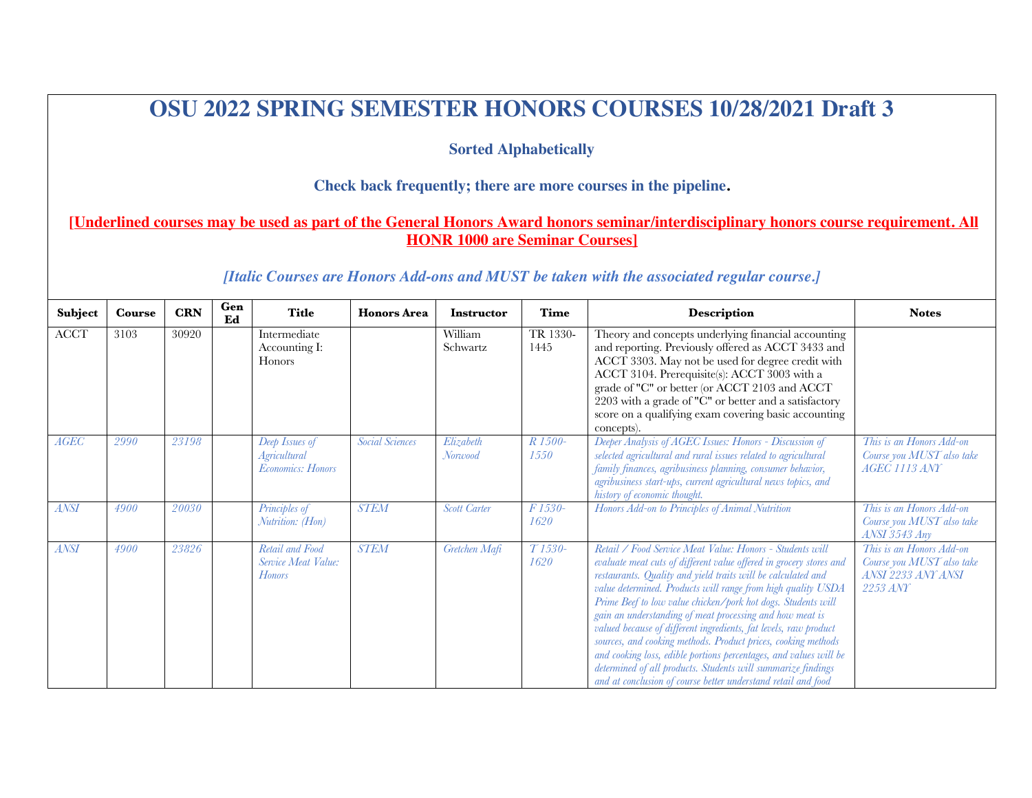# **OSU 2022 SPRING SEMESTER HONORS COURSES 10/28/2021 Draft 3**

### **Sorted Alphabetically**

### **Check back frequently; there are more courses in the pipeline.**

## **[Underlined courses may be used as part of the General Honors Award honors seminar/interdisciplinary honors course requirement. All HONR 1000 are Seminar Courses]**

#### *[Italic Courses are Honors Add-ons and MUST be taken with the associated regular course.]*

| Subject               | <b>Course</b> | <b>CRN</b> | Gen<br>Ed | <b>Title</b>                                                      | <b>Honors</b> Area     | <b>Instructor</b>    | <b>Time</b>                  | Description                                                                                                                                                                                                                                                                                                                                                                                                                                                                                                                                                                                                                                                                                                                            | <b>Notes</b>                                                                            |
|-----------------------|---------------|------------|-----------|-------------------------------------------------------------------|------------------------|----------------------|------------------------------|----------------------------------------------------------------------------------------------------------------------------------------------------------------------------------------------------------------------------------------------------------------------------------------------------------------------------------------------------------------------------------------------------------------------------------------------------------------------------------------------------------------------------------------------------------------------------------------------------------------------------------------------------------------------------------------------------------------------------------------|-----------------------------------------------------------------------------------------|
| $\operatorname{ACCT}$ | 3103          | 30920      |           | Intermediate<br>Accounting I:<br>Honors                           |                        | William<br>Schwartz  | TR 1330-<br>1445             | Theory and concepts underlying financial accounting<br>and reporting. Previously offered as ACCT 3433 and<br>ACCT 3303. May not be used for degree credit with<br>ACCT 3104. Prerequisite(s): ACCT 3003 with a<br>grade of "C" or better (or ACCT 2103 and ACCT<br>2203 with a grade of "C" or better and a satisfactory<br>score on a qualifying exam covering basic accounting<br>concepts).                                                                                                                                                                                                                                                                                                                                         |                                                                                         |
| AGEC                  | 2990          | 23198      |           | Deep Issues of<br><b>Agricultural</b><br><b>Economics: Honors</b> | <b>Social Sciences</b> | Elizabeth<br>Norwood | R 1500-<br>1550              | Deeper Analysis of AGEC Issues: Honors - Discussion of<br>selected agricultural and rural issues related to agricultural<br>family finances, agribusiness planning, consumer behavior,<br>agribusiness start-ups, current agricultural news topics, and<br>history of economic thought.                                                                                                                                                                                                                                                                                                                                                                                                                                                | This is an Honors Add-on<br>Course you MUST also take<br><b>AGEC 1113 ANY</b>           |
| <b>ANSI</b>           | 4900          | 20030      |           | Principles of<br>Nutrition: (Hon)                                 | <b>STEM</b>            | <b>Scott Carter</b>  | F 1530-<br>1620              | Honors Add-on to Principles of Animal Nutrition                                                                                                                                                                                                                                                                                                                                                                                                                                                                                                                                                                                                                                                                                        | This is an Honors Add-on<br>Course you MUST also take<br><b>ANSI</b> 3543 Any           |
| <b>ANSI</b>           | 4900          | 23826      |           | Retail and Food<br>Service Meat Value:<br><b>Honors</b>           | <b>STEM</b>            | Gretchen Mafi        | $\overline{T}$ 1530-<br>1620 | Retail / Food Service Meat Value: Honors - Students will<br>evaluate meat cuts of different value offered in grocery stores and<br>restaurants. Quality and yield traits will be calculated and<br>value determined. Products will range from high quality USDA<br>Prime Beef to low value chicken/pork hot dogs. Students will<br>gain an understanding of meat processing and how meat is<br>valued because of different ingredients, fat levels, raw product<br>sources, and cooking methods. Product prices, cooking methods<br>and cooking loss, edible portions percentages, and values will be<br>determined of all products. Students will summarize findings<br>and at conclusion of course better understand retail and food | This is an Honors Add-on<br>Course you MUST also take<br>ANSI 2233 ANY ANSI<br>2253 ANY |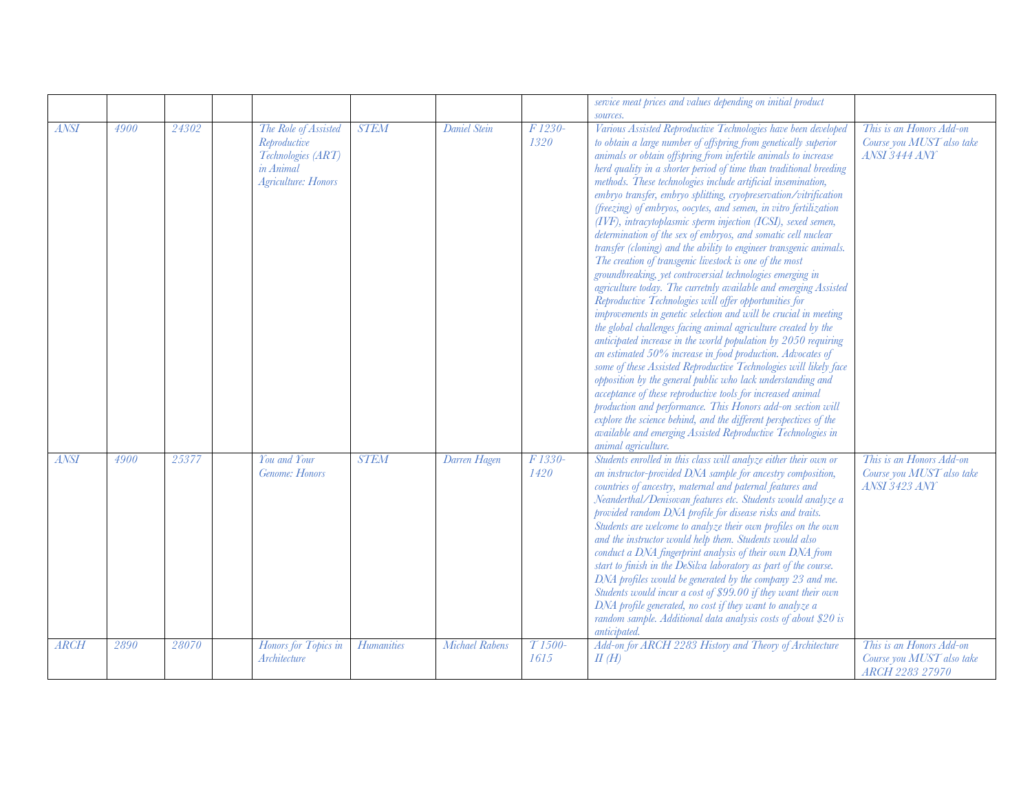|             |      |       |                                                                                                       |                   |                |                  | service meat prices and values depending on initial product<br>sources                                                                                                                                                                                                                                                                                                                                                                                                                                                                                                                                                                                                                                                                                                                                                                                                                                                                                                                                                                                                                                                                                                                                                                                                                                                                                                                                                                                                                                                                                                                                                                                |                                                                               |
|-------------|------|-------|-------------------------------------------------------------------------------------------------------|-------------------|----------------|------------------|-------------------------------------------------------------------------------------------------------------------------------------------------------------------------------------------------------------------------------------------------------------------------------------------------------------------------------------------------------------------------------------------------------------------------------------------------------------------------------------------------------------------------------------------------------------------------------------------------------------------------------------------------------------------------------------------------------------------------------------------------------------------------------------------------------------------------------------------------------------------------------------------------------------------------------------------------------------------------------------------------------------------------------------------------------------------------------------------------------------------------------------------------------------------------------------------------------------------------------------------------------------------------------------------------------------------------------------------------------------------------------------------------------------------------------------------------------------------------------------------------------------------------------------------------------------------------------------------------------------------------------------------------------|-------------------------------------------------------------------------------|
| <b>ANSI</b> | 4900 | 24302 | The Role of Assisted<br>Reproductive<br>Technologies (ART)<br>in Animal<br><b>Agriculture: Honors</b> | <b>STEM</b>       | Daniel Stein   | F 1230-<br>1320  | Various Assisted Reproductive Technologies have been developed<br>to obtain a large number of offspring from genetically superior<br>animals or obtain offspring from infertile animals to increase<br>herd quality in a shorter period of time than traditional breeding<br>methods. These technologies include artificial insemination,<br>embryo transfer, embryo splitting, cryopreservation/vitrification<br>(freezing) of embryos, oocytes, and semen, in vitro fertilization<br>(IVF), intracytoplasmic sperm injection (ICSI), sexed semen,<br>determination of the sex of embryos, and somatic cell nuclear<br>transfer (cloning) and the ability to engineer transgenic animals.<br>The creation of transgenic livestock is one of the most<br>groundbreaking, yet controversial technologies emerging in<br>agriculture today. The curretnly available and emerging Assisted<br>Reproductive Technologies will offer opportunities for<br>improvements in genetic selection and will be crucial in meeting<br>the global challenges facing animal agriculture created by the<br>anticipated increase in the world population by 2050 requiring<br>an estimated 50% increase in food production. Advocates of<br>some of these Assisted Reproductive Technologies will likely face<br>opposition by the general public who lack understanding and<br>acceptance of these reproductive tools for increased animal<br>production and performance. This Honors add-on section will<br>explore the science behind, and the different perspectives of the<br>available and emerging Assisted Reproductive Technologies in<br>animal agriculture. | This is an Honors Add-on<br>Course you MUST also take<br>ANSI 3444 ANY        |
| <b>ANSI</b> | 4900 | 25377 | You and Your<br>Genome: Honors                                                                        | <b>STEM</b>       | Darren Hagen   | F 1330-<br>1420  | Students enrolled in this class will analyze either their own or<br>an instructor-provided DNA sample for ancestry composition,<br>countries of ancestry, maternal and paternal features and<br>Neanderthal/Denisovan features etc. Students would analyze a<br>provided random DNA profile for disease risks and traits.<br>Students are welcome to analyze their own profiles on the own<br>and the instructor would help them. Students would also<br>conduct a DNA fingerprint analysis of their own DNA from<br>start to finish in the DeSilva laboratory as part of the course.<br>DNA profiles would be generated by the company 23 and me.<br>Students would incur a cost of \$99.00 if they want their own<br>DNA profile generated, no cost if they want to analyze a<br>random sample. Additional data analysis costs of about \$20 is<br>anticipated.                                                                                                                                                                                                                                                                                                                                                                                                                                                                                                                                                                                                                                                                                                                                                                                     | This is an Honors Add-on<br>Course you MUST also take<br><b>ANSI 3423 ANY</b> |
| <b>ARCH</b> | 2890 | 28070 | Honors for Topics in<br>Architecture                                                                  | <b>Humanities</b> | Michael Rabens | $T1500-$<br>1615 | Add-on for ARCH 2283 History and Theory of Architecture<br>$I\!I(H)$                                                                                                                                                                                                                                                                                                                                                                                                                                                                                                                                                                                                                                                                                                                                                                                                                                                                                                                                                                                                                                                                                                                                                                                                                                                                                                                                                                                                                                                                                                                                                                                  | This is an Honors Add-on<br>Course you MUST also take<br>ARCH 2283 27970      |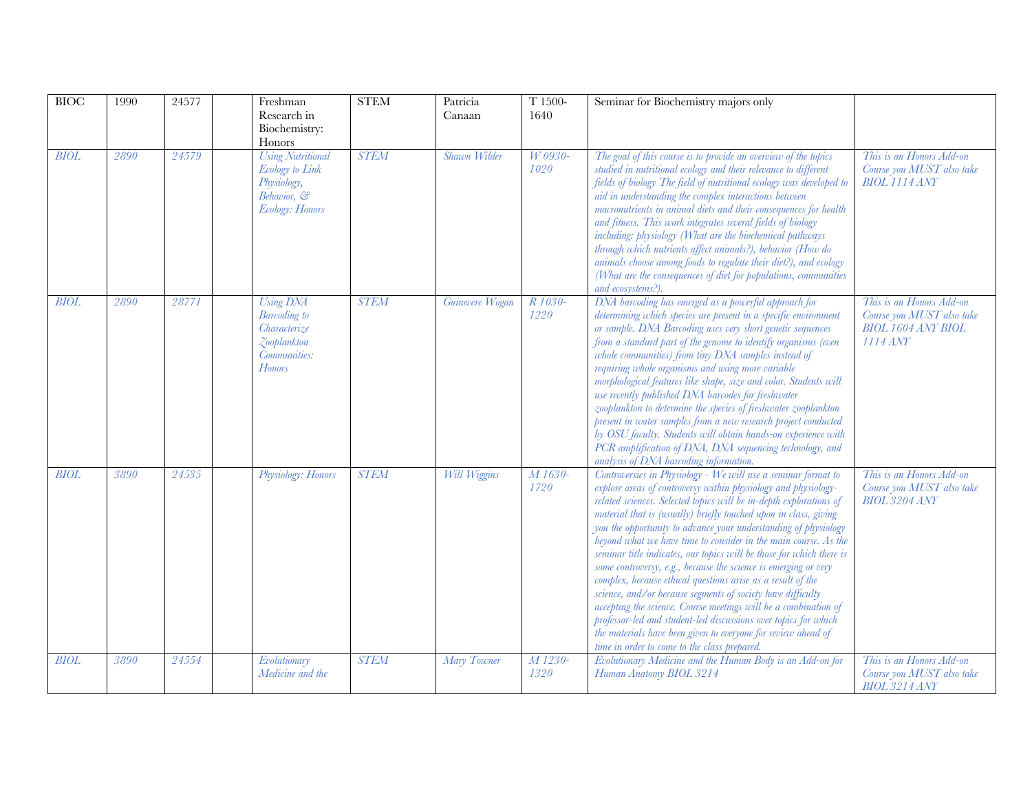| <b>BIOC</b> | 1990 | 24577 |               | Freshman<br>Research in<br>Biochemistry:<br>Honors                                                  | <b>STEM</b> | Patricia<br>Canaan  | T 1500-<br>1640 | Seminar for Biochemistry majors only                                                                                                                                                                                                                                                                                                                                                                                                                                                                                                                                                                                                                                                                                                                                                                                                                                                                                                            |                                                                                                  |
|-------------|------|-------|---------------|-----------------------------------------------------------------------------------------------------|-------------|---------------------|-----------------|-------------------------------------------------------------------------------------------------------------------------------------------------------------------------------------------------------------------------------------------------------------------------------------------------------------------------------------------------------------------------------------------------------------------------------------------------------------------------------------------------------------------------------------------------------------------------------------------------------------------------------------------------------------------------------------------------------------------------------------------------------------------------------------------------------------------------------------------------------------------------------------------------------------------------------------------------|--------------------------------------------------------------------------------------------------|
| <b>BIOL</b> | 2890 | 24579 |               | <b>Using Nutritional</b><br><b>Ecology</b> to Link<br>Physiology,<br>Behavior, &<br>Ecology: Honors | <b>STEM</b> | Shawn Wilder        | W 0930-<br>1020 | The goal of this course is to provide an overview of the topics<br>studied in nutritional ecology and their relevance to different<br>fields of biology The field of nutritional ecology was developed to<br>aid in understanding the complex interactions between<br>macronutrients in animal diets and their consequences for health<br>and fitness. This work integrates several fields of biology<br>including: physiology (What are the biochemical pathways<br>through which nutrients affect animals?), behavior (How do<br>animals choose among foods to regulate their diet?), and ecology<br>(What are the consequences of diet for populations, communities<br>and ecosystems?).                                                                                                                                                                                                                                                     | This is an Honors Add-on<br>Course you MUST also take<br><b>BIOL 1114 ANY</b>                    |
| <b>BIOL</b> | 2890 | 28771 | <b>Honors</b> | Using DNA<br><b>Barcoding</b> to<br>Characterize<br>Zooplankton<br>Communities:                     | <b>STEM</b> | Guinevere Wogan     | R 1030-<br>1220 | DNA barcoding has emerged as a powerful approach for<br>determining which species are present in a specific environment<br>or sample. DNA Barcoding uses very short genetic sequences<br>from a standard part of the genome to identify organisms (even<br>whole communities) from tiny DNA samples instead of<br>requiring whole organisms and using more variable<br>morphological features like shape, size and color. Students will<br>use recently published DNA barcodes for freshwater<br>zooplankton to determine the species of freshwater zooplankton<br>present in water samples from a new research project conducted<br>by OSU faculty. Students will obtain hands-on experience with<br>PCR amplification of DNA, DNA sequencing technology, and<br>analysis of DNA barcoding information.                                                                                                                                        | This is an Honors Add-on<br>Course you MUST also take<br><b>BIOL 1604 ANY BIOL</b><br>$1114$ ANY |
| BIOL        | 3890 | 24535 |               | Physiology: Honors                                                                                  | <b>STEM</b> | <b>Will Wiggins</b> | M 1630-<br>1720 | Controversies in Physiology - We will use a seminar format to<br>explore areas of controversy within physiology and physiology-<br>related sciences. Selected topics will be in-depth explorations of<br>material that is (usually) briefly touched upon in class, giving<br>you the opportunity to advance your understanding of physiology<br>beyond what we have time to consider in the main course. As the<br>seminar title indicates, our topics will be those for which there is<br>some controversy, e.g., because the science is emerging or very<br>complex, because ethical questions arise as a result of the<br>science, and/or because segments of society have difficulty<br>accepting the science. Course meetings will be a combination of<br>professor-led and student-led discussions over topics for which<br>the materials have been given to everyone for review ahead of<br>time in order to come to the class prepared. | This is an Honors Add-on<br>Course you MUST also take<br><b>BIOL 3204 ANY</b>                    |
| <b>BIOL</b> | 3890 | 24554 |               | Evolutionary<br>Medicine and the                                                                    | <b>STEM</b> | Mary Towner         | M 1230-<br>1320 | Evolutionary Medicine and the Human Body is an Add-on for<br>Human Anatomy BIOL 3214                                                                                                                                                                                                                                                                                                                                                                                                                                                                                                                                                                                                                                                                                                                                                                                                                                                            | This is an Honors Add-on<br>Course you MUST also take<br><b>BIOL 3214 ANY</b>                    |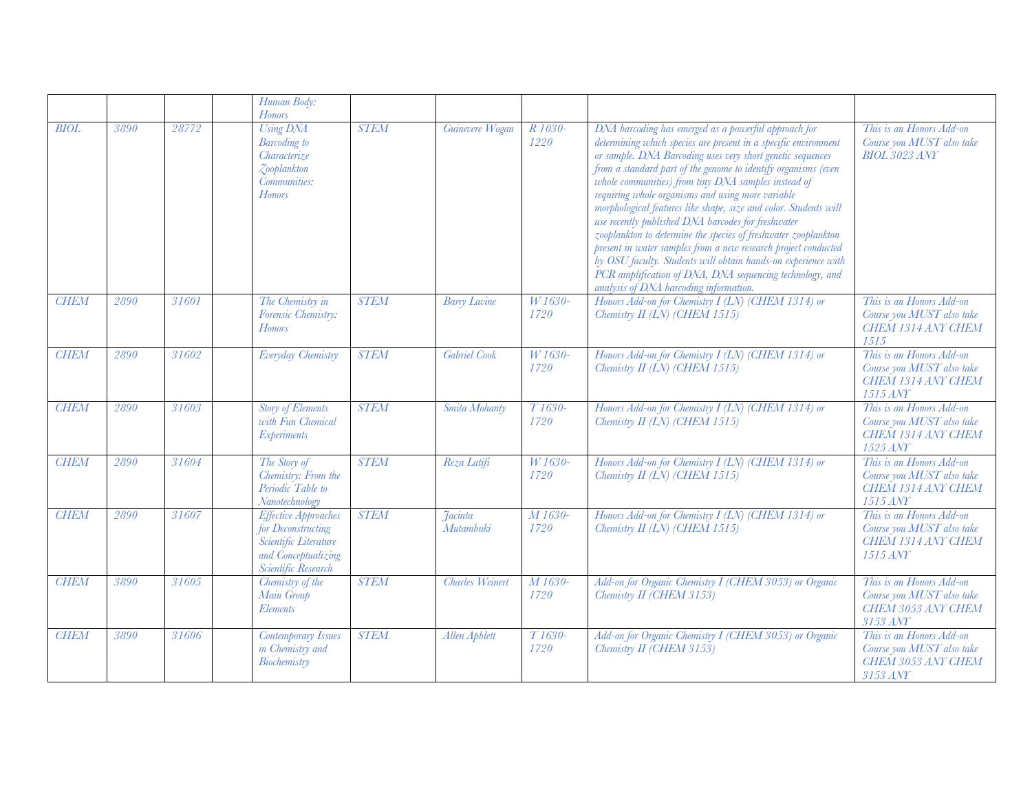|             |      |       | Human Body:<br><b>Honors</b>                                                                                             |             |                                    |                             |                                                                                                                                                                                                                                                                                                                                                                                                                                                                                                                                                                                                                                                                                                                                                                                                          |                                                                                         |
|-------------|------|-------|--------------------------------------------------------------------------------------------------------------------------|-------------|------------------------------------|-----------------------------|----------------------------------------------------------------------------------------------------------------------------------------------------------------------------------------------------------------------------------------------------------------------------------------------------------------------------------------------------------------------------------------------------------------------------------------------------------------------------------------------------------------------------------------------------------------------------------------------------------------------------------------------------------------------------------------------------------------------------------------------------------------------------------------------------------|-----------------------------------------------------------------------------------------|
| <b>BIOL</b> | 3890 | 28772 | <b>Using DNA</b><br><b>Barcoding</b> to<br>Characterize<br>Zooplankton<br>Communities:<br><b>Honors</b>                  | <b>STEM</b> | Guinevere Wogan                    | R 1030-<br>1220             | DNA barcoding has emerged as a powerful approach for<br>determining which species are present in a specific environment<br>or sample. DNA Barcoding uses very short genetic sequences<br>from a standard part of the genome to identify organisms (even<br>whole communities) from tiny DNA samples instead of<br>requiring whole organisms and using more variable<br>morphological features like shape, size and color. Students will<br>use recently published DNA barcodes for freshwater<br>zooplankton to determine the species of freshwater zooplankton<br>present in water samples from a new research project conducted<br>by OSU faculty. Students will obtain hands-on experience with<br>PCR amplification of DNA, DNA sequencing technology, and<br>analysis of DNA barcoding information. | This is an Honors Add-on<br>Course you MUST also take<br><b>BIOL 3023 ANY</b>           |
| <b>CHEM</b> | 2890 | 31601 | The Chemistry in<br>Forensic Chemistry:<br><b>Honors</b>                                                                 | <b>STEM</b> | <b>Barry Lavine</b>                | W 1630-<br>1720             | Honors Add-on for Chemistry I (LN) (CHEM 1314) or<br>Chemistry II (LN) (CHEM 1515)                                                                                                                                                                                                                                                                                                                                                                                                                                                                                                                                                                                                                                                                                                                       | This is an Honors Add-on<br>Course you MUST also take<br>CHEM 1314 ANY CHEM<br>1515     |
| <b>CHEM</b> | 2890 | 31602 | Everyday Chemistry                                                                                                       | <b>STEM</b> | Gabriel Cook                       | W 1630-<br>1720             | Honors Add-on for Chemistry I (LN) (CHEM 1314) or<br>Chemistry II (LN) (CHEM 1515)                                                                                                                                                                                                                                                                                                                                                                                                                                                                                                                                                                                                                                                                                                                       | This is an Honors Add-on<br>Course you MUST also take<br>CHEM 1314 ANY CHEM<br>1515 ANY |
| <b>CHEM</b> | 2890 | 31603 | <b>Story of Elements</b><br>with Fun Chemical<br><b>Experiments</b>                                                      | <b>STEM</b> | Smita Mohanty                      | T <sub>1630</sub> -<br>1720 | Honors Add-on for Chemistry I (LN) (CHEM 1314) or<br>Chemistry II (LN) (CHEM 1515)                                                                                                                                                                                                                                                                                                                                                                                                                                                                                                                                                                                                                                                                                                                       | This is an Honors Add-on<br>Course you MUST also take<br>CHEM 1314 ANY CHEM<br>1525 ANY |
| <b>CHEM</b> | 2890 | 31604 | The Story of<br>Chemistry: From the<br>Periodic Table to<br>Nanotechnology                                               | <b>STEM</b> | Reza Latifi                        | W 1630-<br>1720             | Honors Add-on for Chemistry I (LN) (CHEM 1314) or<br>Chemistry II (LN) (CHEM 1515)                                                                                                                                                                                                                                                                                                                                                                                                                                                                                                                                                                                                                                                                                                                       | This is an Honors Add-on<br>Course you MUST also take<br>CHEM 1314 ANY CHEM<br>1515 ANY |
| <b>CHEM</b> | 2890 | 31607 | <b>Effective Approaches</b><br>for Deconstructing<br>Scientific Literature<br>and Conceptualizing<br>Scientific Research | <b>STEM</b> | <i><u>Tacinta</u></i><br>Mutambuki | M 1630-<br>1720             | Honors Add-on for Chemistry I (LN) (CHEM 1314) or<br>Chemistry $II$ (LN) (CHEM 1515)                                                                                                                                                                                                                                                                                                                                                                                                                                                                                                                                                                                                                                                                                                                     | This is an Honors Add-on<br>Course you MUST also take<br>CHEM 1314 ANY CHEM<br>1515 ANY |
| <b>CHEM</b> | 3890 | 31605 | Chemistry of the<br>Main Group<br>Elements                                                                               | <b>STEM</b> | <b>Charles Weinert</b>             | M 1630-<br>1720             | Add-on for Organic Chemistry I (CHEM 3053) or Organic<br>Chemistry II (CHEM 3153)                                                                                                                                                                                                                                                                                                                                                                                                                                                                                                                                                                                                                                                                                                                        | This is an Honors Add-on<br>Course you MUST also take<br>CHEM 3053 ANY CHEM<br>3153 ANY |
| <b>CHEM</b> | 3890 | 31606 | <b>Contemporary Issues</b><br>in Chemistry and<br>Biochemistry                                                           | <b>STEM</b> | Allen Apblett                      | T <sub>1630</sub> -<br>1720 | Add-on for Organic Chemistry I (CHEM 3053) or Organic<br>Chemistry II (CHEM 3153)                                                                                                                                                                                                                                                                                                                                                                                                                                                                                                                                                                                                                                                                                                                        | This is an Honors Add-on<br>Course you MUST also take<br>CHEM 3053 ANY CHEM<br>3153 ANY |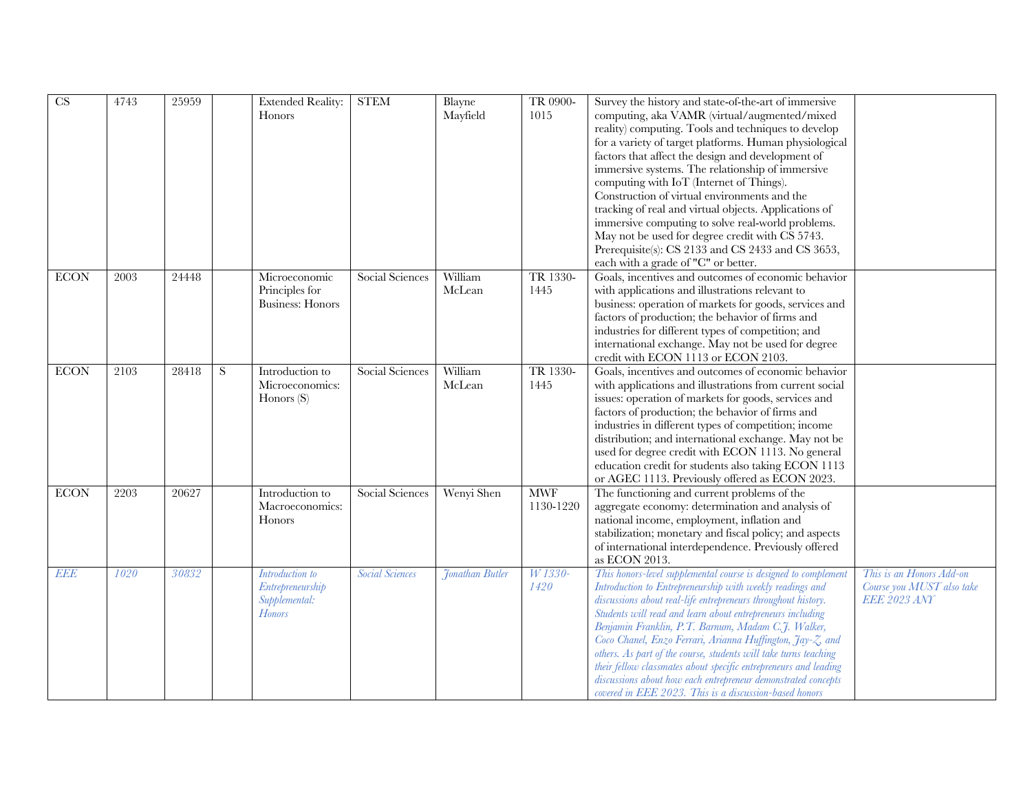| CS          | 4743 | 25959 |           | <b>Extended Reality:</b><br>Honors                                    | <b>STEM</b>            | Blayne<br>Mayfield | TR 0900-<br>1015        | Survey the history and state-of-the-art of immersive<br>computing, aka VAMR (virtual/augmented/mixed<br>reality) computing. Tools and techniques to develop<br>for a variety of target platforms. Human physiological<br>factors that affect the design and development of<br>immersive systems. The relationship of immersive<br>computing with IoT (Internet of Things).<br>Construction of virtual environments and the<br>tracking of real and virtual objects. Applications of<br>immersive computing to solve real-world problems.<br>May not be used for degree credit with CS 5743.<br>Prerequisite(s): CS 2133 and CS 2433 and CS 3653,<br>each with a grade of "C" or better. |                                                                              |
|-------------|------|-------|-----------|-----------------------------------------------------------------------|------------------------|--------------------|-------------------------|-----------------------------------------------------------------------------------------------------------------------------------------------------------------------------------------------------------------------------------------------------------------------------------------------------------------------------------------------------------------------------------------------------------------------------------------------------------------------------------------------------------------------------------------------------------------------------------------------------------------------------------------------------------------------------------------|------------------------------------------------------------------------------|
| <b>ECON</b> | 2003 | 24448 |           | Microeconomic<br>Principles for<br><b>Business:</b> Honors            | Social Sciences        | William<br>McLean  | TR 1330-<br>1445        | Goals, incentives and outcomes of economic behavior<br>with applications and illustrations relevant to<br>business: operation of markets for goods, services and<br>factors of production; the behavior of firms and<br>industries for different types of competition; and<br>international exchange. May not be used for degree<br>credit with ECON 1113 or ECON 2103.                                                                                                                                                                                                                                                                                                                 |                                                                              |
| <b>ECON</b> | 2103 | 28418 | ${\bf S}$ | Introduction to<br>Microeconomics:<br>Honors $(S)$                    | Social Sciences        | William<br>McLean  | TR 1330-<br>1445        | Goals, incentives and outcomes of economic behavior<br>with applications and illustrations from current social<br>issues: operation of markets for goods, services and<br>factors of production; the behavior of firms and<br>industries in different types of competition; income<br>distribution; and international exchange. May not be<br>used for degree credit with ECON 1113. No general<br>education credit for students also taking ECON 1113<br>or AGEC 1113. Previously offered as ECON 2023.                                                                                                                                                                                |                                                                              |
| <b>ECON</b> | 2203 | 20627 |           | Introduction to<br>Macroeconomics:<br>Honors                          | Social Sciences        | Wenyi Shen         | <b>MWF</b><br>1130-1220 | The functioning and current problems of the<br>aggregate economy: determination and analysis of<br>national income, employment, inflation and<br>stabilization; monetary and fiscal policy; and aspects<br>of international interdependence. Previously offered<br>as ECON 2013.                                                                                                                                                                                                                                                                                                                                                                                                        |                                                                              |
| <b>EEE</b>  | 1020 | 30832 |           | Introduction to<br>Entrepreneurship<br>Supplemental:<br><b>Honors</b> | <b>Social Sciences</b> | Jonathan Butler    | W 1330-<br>1420         | This honors-level supplemental course is designed to complement<br>Introduction to Entrepreneurship with weekly readings and<br>discussions about real-life entrepreneurs throughout history.<br>Students will read and learn about entrepreneurs including<br>Benjamin Franklin, P.T. Barnum, Madam C.J. Walker,<br>Coco Chanel, Enzo Ferrari, Arianna Huffington, Jay-Z, and<br>others. As part of the course, students will take turns teaching<br>their fellow classmates about specific entrepreneurs and leading<br>discussions about how each entrepreneur demonstrated concepts<br>covered in EEE 2023. This is a discussion-based honors                                       | This is an Honors Add-on<br>Course you MUST also take<br><b>EEE 2023 ANY</b> |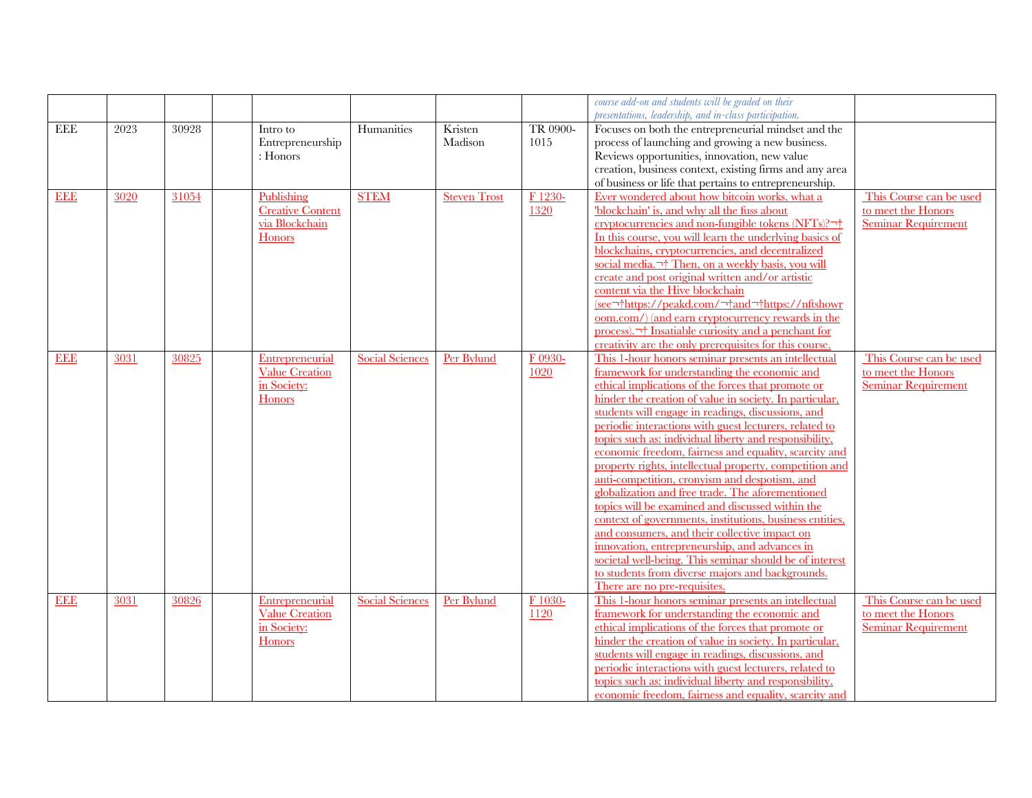|            |      |       |                         |                        |                     |          | course add-on and students will be graded on their            |                            |
|------------|------|-------|-------------------------|------------------------|---------------------|----------|---------------------------------------------------------------|----------------------------|
|            |      |       |                         |                        |                     |          | presentations, leadership, and in-class participation.        |                            |
| EEE        | 2023 | 30928 | Intro to                | Humanities             | Kristen             | TR 0900- | Focuses on both the entrepreneurial mindset and the           |                            |
|            |      |       | Entrepreneurship        |                        | Madison             | 1015     | process of launching and growing a new business.              |                            |
|            |      |       | $:$ Honors              |                        |                     |          | Reviews opportunities, innovation, new value                  |                            |
|            |      |       |                         |                        |                     |          | creation, business context, existing firms and any area       |                            |
|            |      |       |                         |                        |                     |          | of business or life that pertains to entrepreneurship.        |                            |
| <b>EEE</b> | 3020 | 31054 | Publishing              | <b>STEM</b>            | <b>Steven Trost</b> | F 1230-  | Ever wondered about how bitcoin works, what a                 | This Course can be used    |
|            |      |       | <b>Creative Content</b> |                        |                     | 1320     | 'blockchain' is, and why all the fuss about                   | to meet the Honors         |
|            |      |       | via Blockchain          |                        |                     |          | cryptocurrencies and non-fungible tokens (NFTs)?              | <b>Seminar Requirement</b> |
|            |      |       | Honors                  |                        |                     |          | In this course, you will learn the underlying basics of       |                            |
|            |      |       |                         |                        |                     |          | blockchains, cryptocurrencies, and decentralized              |                            |
|            |      |       |                         |                        |                     |          | social media. <sup>-+</sup> Then, on a weekly basis, you will |                            |
|            |      |       |                         |                        |                     |          | create and post original written and/or artistic              |                            |
|            |      |       |                         |                        |                     |          | content via the Hive blockchain                               |                            |
|            |      |       |                         |                        |                     |          | (see https://peakd.com/ and https://nftshowr                  |                            |
|            |      |       |                         |                        |                     |          | oom.com/) (and earn cryptocurrency rewards in the             |                            |
|            |      |       |                         |                        |                     |          | process). This Institute curiosity and a penchant for         |                            |
|            |      |       |                         |                        |                     |          | creativity are the only prerequisites for this course.        |                            |
| <b>EEE</b> | 3031 | 30825 | Entrepreneurial         | <b>Social Sciences</b> | Per Bylund          | F 0930-  | This 1-hour honors seminar presents an intellectual           | This Course can be used    |
|            |      |       | <b>Value Creation</b>   |                        |                     | 1020     | framework for understanding the economic and                  | to meet the Honors         |
|            |      |       | in Society:             |                        |                     |          | ethical implications of the forces that promote or            | Seminar Requirement        |
|            |      |       | Honors                  |                        |                     |          | hinder the creation of value in society. In particular,       |                            |
|            |      |       |                         |                        |                     |          | students will engage in readings, discussions, and            |                            |
|            |      |       |                         |                        |                     |          | periodic interactions with guest lecturers, related to        |                            |
|            |      |       |                         |                        |                     |          | topics such as: individual liberty and responsibility,        |                            |
|            |      |       |                         |                        |                     |          | economic freedom, fairness and equality, scarcity and         |                            |
|            |      |       |                         |                        |                     |          | property rights, intellectual property, competition and       |                            |
|            |      |       |                         |                        |                     |          | anti-competition, cronyism and despotism, and                 |                            |
|            |      |       |                         |                        |                     |          | globalization and free trade. The aforementioned              |                            |
|            |      |       |                         |                        |                     |          | topics will be examined and discussed within the              |                            |
|            |      |       |                         |                        |                     |          | context of governments, institutions, business entities,      |                            |
|            |      |       |                         |                        |                     |          | and consumers, and their collective impact on                 |                            |
|            |      |       |                         |                        |                     |          | innovation, entrepreneurship, and advances in                 |                            |
|            |      |       |                         |                        |                     |          | societal well-being. This seminar should be of interest       |                            |
|            |      |       |                         |                        |                     |          | to students from diverse majors and backgrounds.              |                            |
|            |      |       |                         |                        |                     |          | There are no pre-requisites.                                  |                            |
| <b>EEE</b> | 3031 | 30826 | Entrepreneurial         | <b>Social Sciences</b> | Per Bylund          | F 1030-  | This 1-hour honors seminar presents an intellectual           | This Course can be used    |
|            |      |       | <b>Value</b> Creation   |                        |                     | 1120     | framework for understanding the economic and                  | to meet the Honors         |
|            |      |       | in Society:             |                        |                     |          | ethical implications of the forces that promote or            | <b>Seminar Requirement</b> |
|            |      |       | Honors                  |                        |                     |          | hinder the creation of value in society. In particular,       |                            |
|            |      |       |                         |                        |                     |          | students will engage in readings, discussions, and            |                            |
|            |      |       |                         |                        |                     |          | periodic interactions with guest lecturers, related to        |                            |
|            |      |       |                         |                        |                     |          | topics such as: individual liberty and responsibility,        |                            |
|            |      |       |                         |                        |                     |          | economic freedom, fairness and equality, scarcity and         |                            |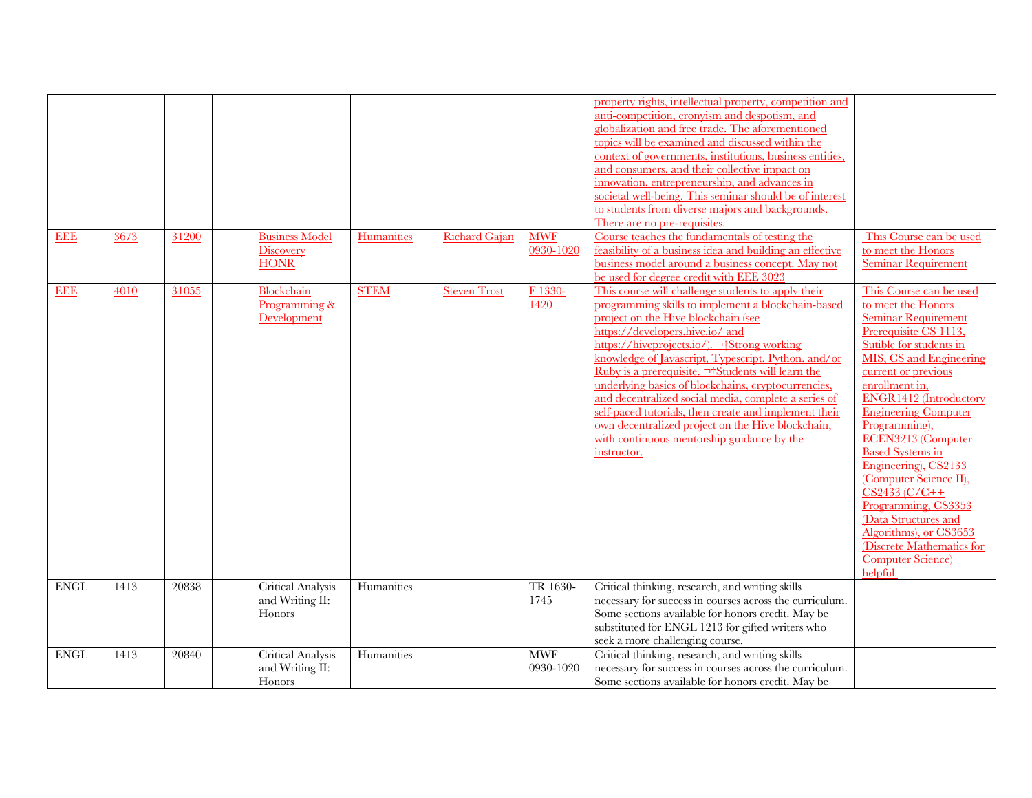| <b>EEE</b>  | 3673 | 31200 | <b>Business Model</b><br>Discovery                | Humanities  | Richard Gajan       | <b>MWF</b><br>0930-1020 | property rights, intellectual property, competition and<br>anti-competition, cronyism and despotism, and<br>globalization and free trade. The aforementioned<br>topics will be examined and discussed within the<br>context of governments, institutions, business entities,<br>and consumers, and their collective impact on<br>innovation, entrepreneurship, and advances in<br>societal well-being. This seminar should be of interest<br>to students from diverse majors and backgrounds.<br>There are no pre-requisites.<br>Course teaches the fundamentals of testing the<br>feasibility of a business idea and building an effective           | This Course can be used<br>to meet the Honors                                                                                                                                                                                                                                                                                                                                                                                                                                                                                                    |
|-------------|------|-------|---------------------------------------------------|-------------|---------------------|-------------------------|-------------------------------------------------------------------------------------------------------------------------------------------------------------------------------------------------------------------------------------------------------------------------------------------------------------------------------------------------------------------------------------------------------------------------------------------------------------------------------------------------------------------------------------------------------------------------------------------------------------------------------------------------------|--------------------------------------------------------------------------------------------------------------------------------------------------------------------------------------------------------------------------------------------------------------------------------------------------------------------------------------------------------------------------------------------------------------------------------------------------------------------------------------------------------------------------------------------------|
|             |      |       | <b>HONR</b>                                       |             |                     |                         | business model around a business concept. May not<br>be used for degree credit with EEE 3023                                                                                                                                                                                                                                                                                                                                                                                                                                                                                                                                                          | <b>Seminar Requirement</b>                                                                                                                                                                                                                                                                                                                                                                                                                                                                                                                       |
| <b>EEE</b>  | 4010 | 31055 | Blockchain<br>Programming &<br><b>Development</b> | <b>STEM</b> | <b>Steven Trost</b> | F 1330-<br>1420         | This course will challenge students to apply their<br>programming skills to implement a blockchain-based<br>project on the Hive blockchain (see<br>https://developers.hive.io/ and<br>https://hiveprojects.io/).  Strong working<br>knowledge of Javascript, Typescript, Python, and/or<br>Ruby is a prerequisite. $\neg^{\dagger}$ Students will learn the<br>underlying basics of blockchains, cryptocurrencies,<br>and decentralized social media, complete a series of<br>self-paced tutorials, then create and implement their<br>own decentralized project on the Hive blockchain,<br>with continuous mentorship guidance by the<br>instructor. | This Course can be used<br>to meet the Honors<br><b>Seminar Requirement</b><br>Prerequisite CS 1113,<br>Sutible for students in<br>MIS, CS and Engineering<br>current or previous<br>enrollment in,<br>ENGR1412 (Introductory<br><b>Engineering Computer</b><br>Programming),<br>ECEN3213 (Computer<br><b>Based Systems in</b><br>Engineering), CS2133<br>(Computer Science II),<br>$CS2433 (C/C++$<br>Programming, CS3353<br>(Data Structures and<br>Algorithms), or CS3653<br>(Discrete Mathematics for<br><b>Computer Science</b><br>helpful. |
| <b>ENGL</b> | 1413 | 20838 | <b>Critical Analysis</b>                          | Humanities  |                     | TR 1630-                | Critical thinking, research, and writing skills                                                                                                                                                                                                                                                                                                                                                                                                                                                                                                                                                                                                       |                                                                                                                                                                                                                                                                                                                                                                                                                                                                                                                                                  |
|             |      |       | and Writing II:<br><b>Honors</b>                  |             |                     | 1745                    | necessary for success in courses across the curriculum.<br>Some sections available for honors credit. May be<br>substituted for ENGL 1213 for gifted writers who<br>seek a more challenging course.                                                                                                                                                                                                                                                                                                                                                                                                                                                   |                                                                                                                                                                                                                                                                                                                                                                                                                                                                                                                                                  |
| <b>ENGL</b> | 1413 | 20840 | <b>Critical Analysis</b>                          | Humanities  |                     | <b>MWF</b>              | Critical thinking, research, and writing skills                                                                                                                                                                                                                                                                                                                                                                                                                                                                                                                                                                                                       |                                                                                                                                                                                                                                                                                                                                                                                                                                                                                                                                                  |
|             |      |       | and Writing II:                                   |             |                     | 0930-1020               | necessary for success in courses across the curriculum.                                                                                                                                                                                                                                                                                                                                                                                                                                                                                                                                                                                               |                                                                                                                                                                                                                                                                                                                                                                                                                                                                                                                                                  |
|             |      |       | Honors                                            |             |                     |                         | Some sections available for honors credit. May be                                                                                                                                                                                                                                                                                                                                                                                                                                                                                                                                                                                                     |                                                                                                                                                                                                                                                                                                                                                                                                                                                                                                                                                  |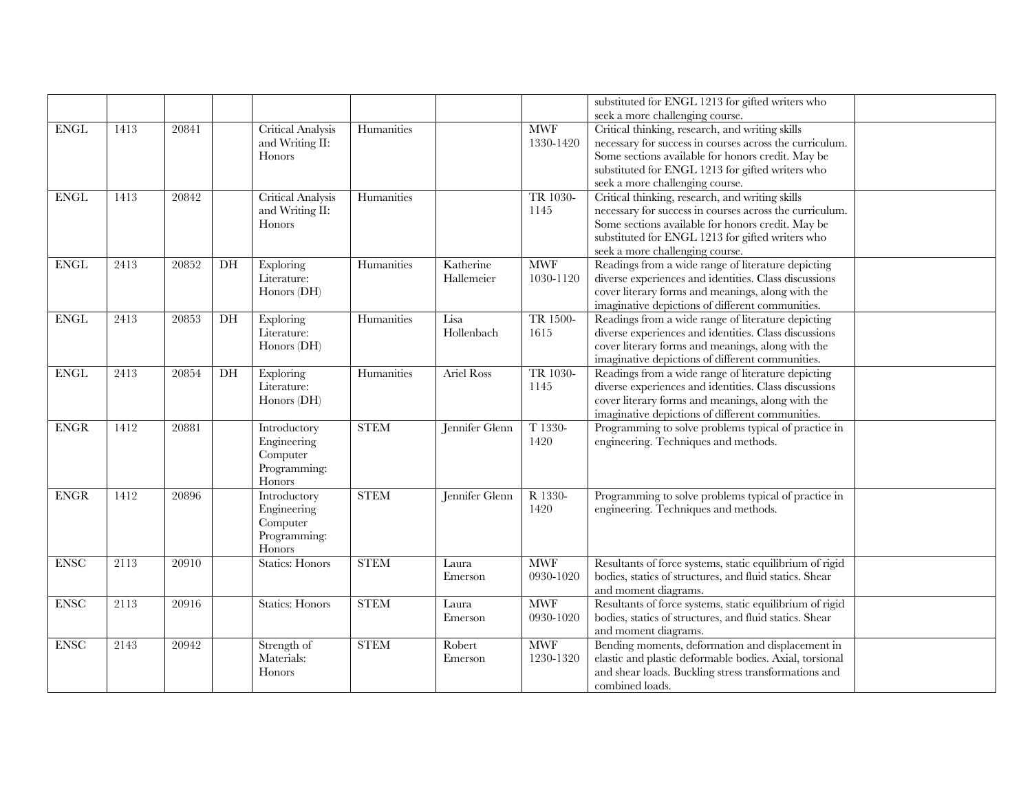|                          |      |       |                 |                          |             |                   |            | substituted for ENGL 1213 for gifted writers who         |  |
|--------------------------|------|-------|-----------------|--------------------------|-------------|-------------------|------------|----------------------------------------------------------|--|
|                          |      |       |                 |                          |             |                   |            | seek a more challenging course.                          |  |
| <b>ENGL</b>              | 1413 | 20841 |                 | Critical Analysis        | Humanities  |                   | <b>MWF</b> | Critical thinking, research, and writing skills          |  |
|                          |      |       |                 | and Writing II:          |             |                   | 1330-1420  | necessary for success in courses across the curriculum.  |  |
|                          |      |       |                 | Honors                   |             |                   |            | Some sections available for honors credit. May be        |  |
|                          |      |       |                 |                          |             |                   |            | substituted for ENGL 1213 for gifted writers who         |  |
|                          |      |       |                 |                          |             |                   |            | seek a more challenging course.                          |  |
| $\overline{\text{ENGL}}$ | 1413 | 20842 |                 | Critical Analysis        | Humanities  |                   | TR 1030-   | Critical thinking, research, and writing skills          |  |
|                          |      |       |                 | and Writing II:          |             |                   | 1145       | necessary for success in courses across the curriculum.  |  |
|                          |      |       |                 | Honors                   |             |                   |            | Some sections available for honors credit. May be        |  |
|                          |      |       |                 |                          |             |                   |            | substituted for ENGL 1213 for gifted writers who         |  |
|                          |      |       |                 |                          |             |                   |            | seek a more challenging course.                          |  |
| <b>ENGL</b>              | 2413 | 20852 | DH              | <b>Exploring</b>         | Humanities  | Katherine         | <b>MWF</b> | Readings from a wide range of literature depicting       |  |
|                          |      |       |                 | Literature:              |             | Hallemeier        | 1030-1120  | diverse experiences and identities. Class discussions    |  |
|                          |      |       |                 | Honors (DH)              |             |                   |            | cover literary forms and meanings, along with the        |  |
|                          |      |       |                 |                          |             |                   |            | imaginative depictions of different communities.         |  |
| <b>ENGL</b>              | 2413 | 20853 | DH              | Exploring                | Humanities  | Lisa              | TR 1500-   | Readings from a wide range of literature depicting       |  |
|                          |      |       |                 | Literature:              |             | Hollenbach        | 1615       | diverse experiences and identities. Class discussions    |  |
|                          |      |       |                 | Honors (DH)              |             |                   |            | cover literary forms and meanings, along with the        |  |
|                          |      |       |                 |                          |             |                   |            | imaginative depictions of different communities.         |  |
| $ENGL$                   | 2413 | 20854 | $\overline{DH}$ | <b>Exploring</b>         | Humanities  | <b>Ariel Ross</b> | TR 1030-   | Readings from a wide range of literature depicting       |  |
|                          |      |       |                 | Literature:              |             |                   | 1145       | diverse experiences and identities. Class discussions    |  |
|                          |      |       |                 | Honors $(DH)$            |             |                   |            | cover literary forms and meanings, along with the        |  |
|                          |      |       |                 |                          |             |                   |            | imaginative depictions of different communities.         |  |
| <b>ENGR</b>              | 1412 | 20881 |                 | Introductory             | <b>STEM</b> | Jennifer Glenn    | T 1330-    | Programming to solve problems typical of practice in     |  |
|                          |      |       |                 | Engineering              |             |                   | 1420       | engineering. Techniques and methods.                     |  |
|                          |      |       |                 | Computer                 |             |                   |            |                                                          |  |
|                          |      |       |                 | Programming:             |             |                   |            |                                                          |  |
|                          |      |       |                 | Honors                   |             |                   |            |                                                          |  |
| <b>ENGR</b>              | 1412 | 20896 |                 | Introductory             | <b>STEM</b> | Jennifer Glenn    | R 1330-    | Programming to solve problems typical of practice in     |  |
|                          |      |       |                 | Engineering              |             |                   | 1420       | engineering. Techniques and methods.                     |  |
|                          |      |       |                 | Computer<br>Programming: |             |                   |            |                                                          |  |
|                          |      |       |                 | Honors                   |             |                   |            |                                                          |  |
| ENSC                     | 2113 | 20910 |                 | <b>Statics: Honors</b>   | <b>STEM</b> | Laura             | <b>MWF</b> | Resultants of force systems, static equilibrium of rigid |  |
|                          |      |       |                 |                          |             | Emerson           | 0930-1020  | bodies, statics of structures, and fluid statics. Shear  |  |
|                          |      |       |                 |                          |             |                   |            | and moment diagrams.                                     |  |
| <b>ENSC</b>              | 2113 | 20916 |                 | <b>Statics: Honors</b>   | <b>STEM</b> | Laura             | <b>MWF</b> | Resultants of force systems, static equilibrium of rigid |  |
|                          |      |       |                 |                          |             | Emerson           | 0930-1020  | bodies, statics of structures, and fluid statics. Shear  |  |
|                          |      |       |                 |                          |             |                   |            | and moment diagrams.                                     |  |
| <b>ENSC</b>              | 2143 | 20942 |                 | Strength of              | <b>STEM</b> | Robert            | <b>MWF</b> | Bending moments, deformation and displacement in         |  |
|                          |      |       |                 | Materials:               |             | Emerson           | 1230-1320  | elastic and plastic deformable bodies. Axial, torsional  |  |
|                          |      |       |                 | Honors                   |             |                   |            | and shear loads. Buckling stress transformations and     |  |
|                          |      |       |                 |                          |             |                   |            | combined loads.                                          |  |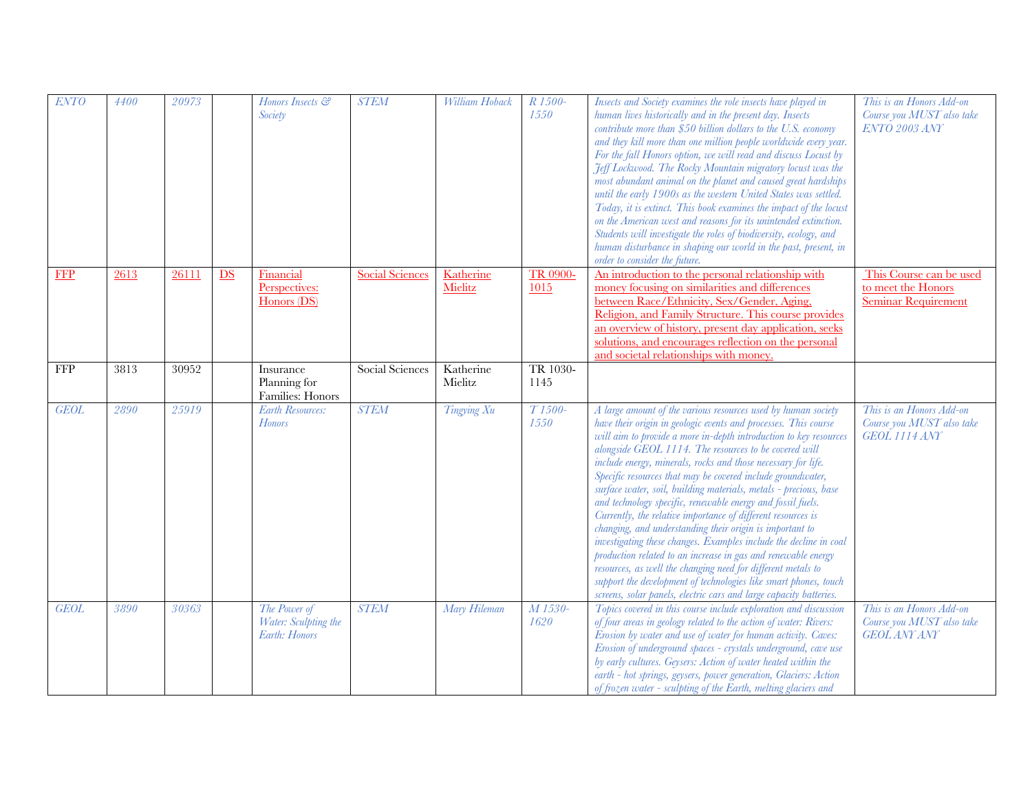| <b>ENTO</b> | 4400 | 20973 |    | Honors Insects &<br>Society                           | <b>STEM</b>            | William Hoback       | R 1500-<br>1550             | Insects and Society examines the role insects have played in<br>human lives historically and in the present day. Insects<br>contribute more than \$50 billion dollars to the U.S. economy<br>and they kill more than one million people worldwide every year.<br>For the fall Honors option, we will read and discuss Locust by<br>Feff Lockwood. The Rocky Mountain migratory locust was the<br>most abundant animal on the planet and caused great hardships<br>until the early 1900s as the western United States was settled.<br>Today, it is extinct. This book examines the impact of the locust<br>on the American west and reasons for its unintended extinction.<br>Students will investigate the roles of biodiversity, ecology, and<br>human disturbance in shaping our world in the past, present, in<br>order to consider the future.                                                                                                                                                            | This is an Honors Add-on<br>Course you MUST also take<br><b>ENTO 2003 ANY</b> |
|-------------|------|-------|----|-------------------------------------------------------|------------------------|----------------------|-----------------------------|---------------------------------------------------------------------------------------------------------------------------------------------------------------------------------------------------------------------------------------------------------------------------------------------------------------------------------------------------------------------------------------------------------------------------------------------------------------------------------------------------------------------------------------------------------------------------------------------------------------------------------------------------------------------------------------------------------------------------------------------------------------------------------------------------------------------------------------------------------------------------------------------------------------------------------------------------------------------------------------------------------------|-------------------------------------------------------------------------------|
| <b>FFP</b>  | 2613 | 26111 | DS | Financial<br>Perspectives:<br>Honors (DS)             | <b>Social Sciences</b> | Katherine<br>Mielitz | TR 0900-<br>1015            | An introduction to the personal relationship with<br>money focusing on similarities and differences<br>between Race/Ethnicity, Sex/Gender, Aging,<br>Religion, and Family Structure. This course provides<br>an overview of history, present day application, seeks<br>solutions, and encourages reflection on the personal<br>and societal relationships with money.                                                                                                                                                                                                                                                                                                                                                                                                                                                                                                                                                                                                                                         | This Course can be used<br>to meet the Honors<br><b>Seminar Requirement</b>   |
| <b>FFP</b>  | 3813 | 30952 |    | Insurance<br>Planning for<br>Families: Honors         | Social Sciences        | Katherine<br>Mielitz | TR 1030-<br>1145            |                                                                                                                                                                                                                                                                                                                                                                                                                                                                                                                                                                                                                                                                                                                                                                                                                                                                                                                                                                                                               |                                                                               |
| <b>GEOL</b> | 2890 | 25919 |    | <b>Earth Resources:</b><br><b>Honors</b>              | <b>STEM</b>            | Tingying Xu          | T <sub>1500</sub> -<br>1550 | A large amount of the various resources used by human society<br>have their origin in geologic events and processes. This course<br>will aim to provide a more in-depth introduction to key resources<br>alongside GEOL 1114. The resources to be covered will<br>include energy, minerals, rocks and those necessary for life.<br>Specific resources that may be covered include groundwater,<br>surface water, soil, building materials, metals - precious, base<br>and technology specific, renewable energy and fossil fuels.<br>Currently, the relative importance of different resources is<br>changing, and understanding their origin is important to<br>investigating these changes. Examples include the decline in coal<br>production related to an increase in gas and renewable energy<br>resources, as well the changing need for different metals to<br>support the development of technologies like smart phones, touch<br>screens, solar panels, electric cars and large capacity batteries. | This is an Honors Add-on<br>Course you MUST also take<br><b>GEOL 1114 ANY</b> |
| <b>GEOL</b> | 3890 | 30363 |    | The Power of<br>Water: Sculpting the<br>Earth: Honors | <b>STEM</b>            | Mary Hileman         | M 1530-<br>1620             | Topics covered in this course include exploration and discussion<br>of four areas in geology related to the action of water: Rivers:<br>Erosion by water and use of water for human activity. Caves:<br>Erosion of underground spaces - crystals underground, cave use<br>by early cultures. Geysers: Action of water heated within the<br>earth - hot springs, geysers, power generation, Glaciers: Action<br>of frozen water - sculpting of the Earth, melting glaciers and                                                                                                                                                                                                                                                                                                                                                                                                                                                                                                                                 | This is an Honors Add-on<br>Course you MUST also take<br><b>GEOL ANY ANY</b>  |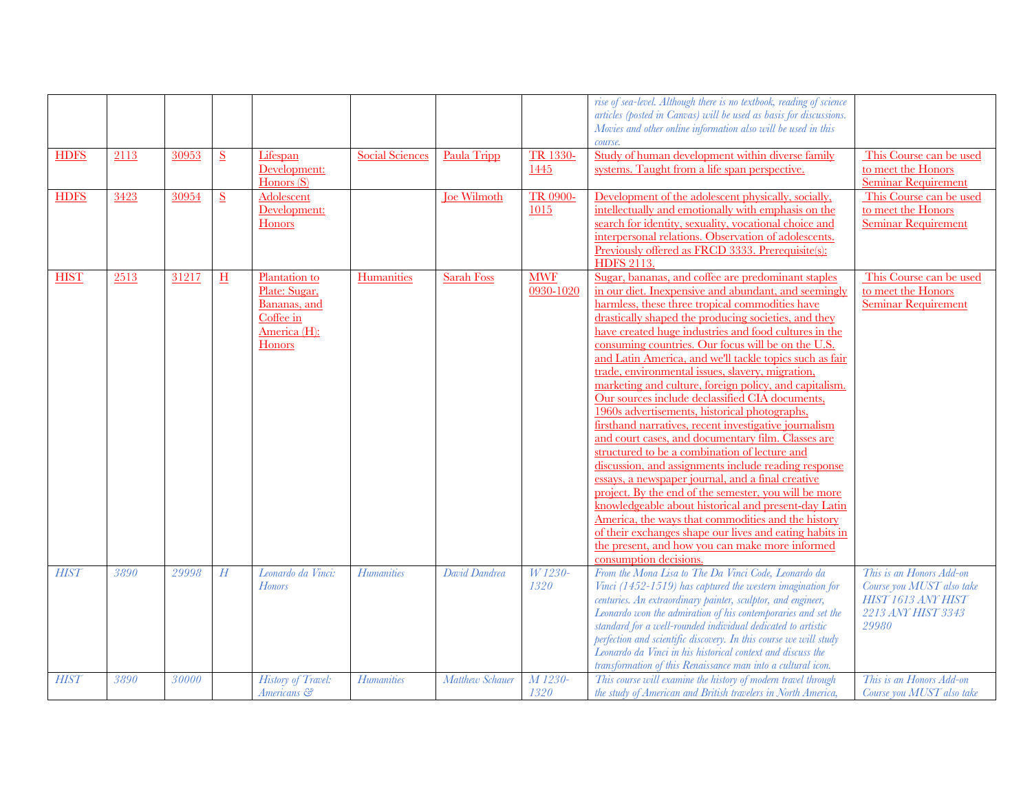|             |      |              |                          |                                                                                       |                        |                    |                         | rise of sea-level. Although there is no textbook, reading of science<br>articles (posted in Canvas) will be used as basis for discussions.<br>Movies and other online information also will be used in this<br>course.                                                                                                                                                                                                                                                                                                                                                                                                                                                                                                                                                                                                                                                                                                                                                                                                                                                                                                                                                                                        |                                                                                                            |
|-------------|------|--------------|--------------------------|---------------------------------------------------------------------------------------|------------------------|--------------------|-------------------------|---------------------------------------------------------------------------------------------------------------------------------------------------------------------------------------------------------------------------------------------------------------------------------------------------------------------------------------------------------------------------------------------------------------------------------------------------------------------------------------------------------------------------------------------------------------------------------------------------------------------------------------------------------------------------------------------------------------------------------------------------------------------------------------------------------------------------------------------------------------------------------------------------------------------------------------------------------------------------------------------------------------------------------------------------------------------------------------------------------------------------------------------------------------------------------------------------------------|------------------------------------------------------------------------------------------------------------|
| <b>HDFS</b> | 2113 | 30953        | S                        | Lifespan<br>Development:<br>Homers(S)                                                 | <b>Social Sciences</b> | Paula Tripp        | <b>TR 1330-</b><br>1445 | Study of human development within diverse family<br>systems. Taught from a life span perspective.                                                                                                                                                                                                                                                                                                                                                                                                                                                                                                                                                                                                                                                                                                                                                                                                                                                                                                                                                                                                                                                                                                             | This Course can be used<br>to meet the Honors<br><b>Seminar Requirement</b>                                |
| <b>HDFS</b> | 3423 | 30954        | $\underline{\mathbf{S}}$ | Adolescent<br>Development:<br>Honors                                                  |                        | <b>Joe Wilmoth</b> | TR 0900-<br>1015        | Development of the adolescent physically, socially,<br>intellectually and emotionally with emphasis on the<br>search for identity, sexuality, vocational choice and<br>interpersonal relations. Observation of adolescents.<br>Previously offered as FRCD 3333. Prerequisite(s):<br><b>HDFS</b> 2113.                                                                                                                                                                                                                                                                                                                                                                                                                                                                                                                                                                                                                                                                                                                                                                                                                                                                                                         | This Course can be used<br>to meet the Honors<br><b>Seminar Requirement</b>                                |
| <b>HIST</b> | 2513 | 31217        | H                        | Plantation to<br>Plate: Sugar,<br>Bananas, and<br>Coffee in<br>America (H):<br>Honors | Humanities             | <b>Sarah Foss</b>  | <b>MWF</b><br>0930-1020 | Sugar, bananas, and coffee are predominant staples<br>in our diet. Inexpensive and abundant, and seemingly<br>harmless, these three tropical commodities have<br>drastically shaped the producing societies, and they<br>have created huge industries and food cultures in the<br>consuming countries. Our focus will be on the U.S.<br>and Latin America, and we'll tackle topics such as fair<br>trade, environmental issues, slavery, migration,<br>marketing and culture, foreign policy, and capitalism.<br>Our sources include declassified CIA documents,<br>1960s advertisements, historical photographs,<br>firsthand narratives, recent investigative journalism<br>and court cases, and documentary film. Classes are<br>structured to be a combination of lecture and<br>discussion, and assignments include reading response<br>essays, a newspaper journal, and a final creative<br>project. By the end of the semester, you will be more<br>knowledgeable about historical and present-day Latin<br>America, the ways that commodities and the history<br>of their exchanges shape our lives and eating habits in<br>the present, and how you can make more informed<br>consumption decisions. | This Course can be used<br>to meet the Honors<br><b>Seminar Requirement</b>                                |
| <b>HIST</b> | 3890 | 29998        | H                        | Leonardo da Vinci:<br><b>Honors</b>                                                   | <i>Humanities</i>      | David Dandrea      | W 1230-<br>1320         | From the Mona Lisa to The Da Vinci Code, Leonardo da<br>Vinci (1452-1519) has captured the western imagination for<br>centuries. An extraordinary painter, sculptor, and engineer,<br>Leonardo won the admiration of his contemporaries and set the<br>standard for a well-rounded individual dedicated to artistic<br>perfection and scientific discovery. In this course we will study<br>Leonardo da Vinci in his historical context and discuss the<br>transformation of this Renaissance man into a cultural icon.                                                                                                                                                                                                                                                                                                                                                                                                                                                                                                                                                                                                                                                                                       | This is an Honors Add-on<br>Course you MUST also take<br>HIST 1613 ANY HIST<br>2213 ANY HIST 3343<br>29980 |
| <b>HIST</b> | 3890 | <i>30000</i> |                          | <b>History of Travel:</b><br>Americans &                                              | <b>Humanities</b>      | Matthew Schauer    | M 1230-<br>1320         | This course will examine the history of modern travel through<br>the study of American and British travelers in North America,                                                                                                                                                                                                                                                                                                                                                                                                                                                                                                                                                                                                                                                                                                                                                                                                                                                                                                                                                                                                                                                                                | This is an Honors Add-on<br>Course you MUST also take                                                      |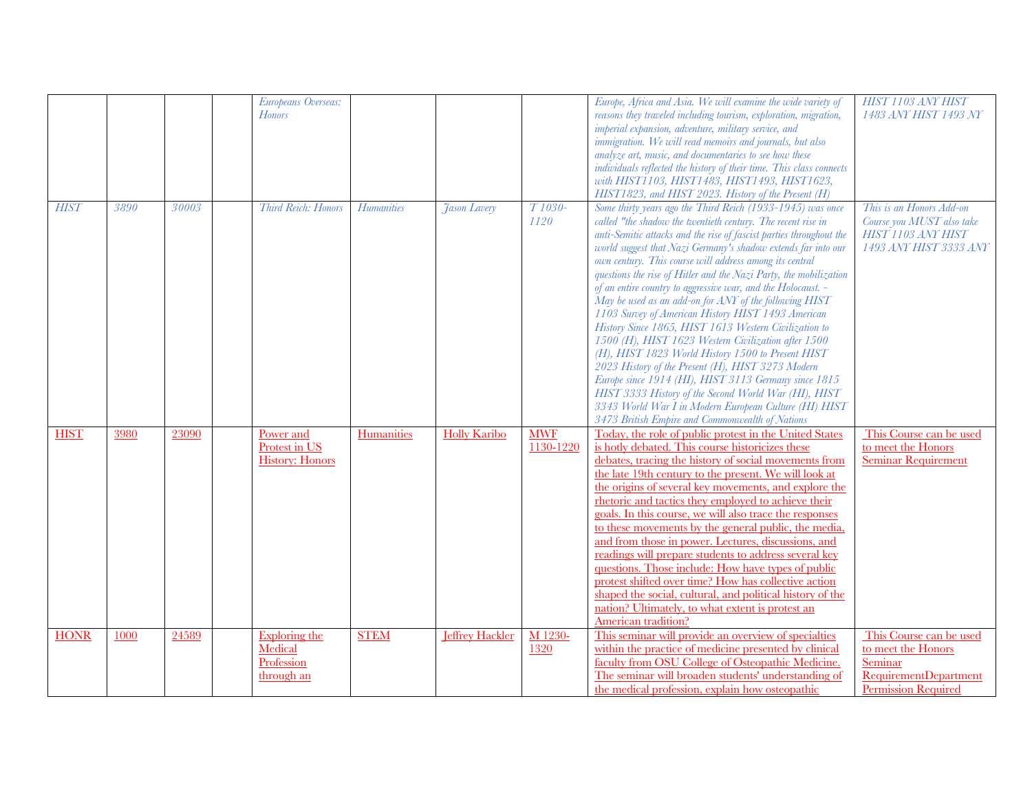|             |      |       | Europeans Overseas:<br><b>Honors</b>                 |                   |                        |                             | Europe, Africa and Asia. We will examine the wide variety of<br>reasons they traveled including tourism, exploration, migration,<br>imperial expansion, adventure, military service, and<br>immigration. We will read memoirs and journals, but also<br>analyze art, music, and documentaries to see how these<br>individuals reflected the history of their time. This class connects<br>with HIST1103, HIST1483, HIST1493, HIST1623,<br>HIST1823, and HIST 2023. History of the Present (H)                                                                                                                                                                                                                                                                                                                                                                                                                                                                                                                                            | HIST 1103 ANY HIST<br>1483 ANY HIST 1493 NY                                                                            |
|-------------|------|-------|------------------------------------------------------|-------------------|------------------------|-----------------------------|------------------------------------------------------------------------------------------------------------------------------------------------------------------------------------------------------------------------------------------------------------------------------------------------------------------------------------------------------------------------------------------------------------------------------------------------------------------------------------------------------------------------------------------------------------------------------------------------------------------------------------------------------------------------------------------------------------------------------------------------------------------------------------------------------------------------------------------------------------------------------------------------------------------------------------------------------------------------------------------------------------------------------------------|------------------------------------------------------------------------------------------------------------------------|
| <b>HIST</b> | 3890 | 30003 | Third Reich: Honors                                  | <i>Humanities</i> | <b>Jason Lavery</b>    | T <sub>1030</sub> -<br>1120 | Some thirty years ago the Third Reich (1933-1945) was once<br>called "the shadow the twentieth century. The recent rise in<br>anti-Semitic attacks and the rise of fascist parties throughout the<br>world suggest that Nazi Germany's shadow extends far into our<br>own century. This course will address among its central<br>questions the rise of Hitler and the Nazi Party, the mobilization<br>of an entire country to aggressive war, and the Holocaust. -<br>May be used as an add-on for ANY of the following HIST<br>1103 Survey of American History HIST 1493 American<br>History Since 1865, HIST 1613 Western Civilization to<br>1500 (H), HIST 1623 Western Civilization after 1500<br>(H), HIST 1823 World History 1500 to Present HIST<br>2023 History of the Present (H), HIST 3273 Modern<br>Europe since 1914 (HI), HIST 3113 Germany since 1815<br>HIST 3333 History of the Second World War (HI), HIST<br>3343 World War I in Modern European Culture (HI) HIST<br>3473 British Empire and Commonwealth of Nations | This is an Honors Add-on<br>Course you MUST also take<br>HIST 1103 ANY HIST<br>1493 ANY HIST 3333 ANY                  |
| <b>HIST</b> | 3980 | 23090 | Power and<br>Protest in US<br><b>History: Honors</b> | Humanities        | <b>Holly Karibo</b>    | <b>MWF</b><br>1130-1220     | Today, the role of public protest in the United States<br>is hotly debated. This course historicizes these<br>debates, tracing the history of social movements from<br>the late 19th century to the present. We will look at<br>the origins of several key movements, and explore the<br>rhetoric and tactics they employed to achieve their<br>goals. In this course, we will also trace the responses<br>to these movements by the general public, the media,<br>and from those in power. Lectures, discussions, and<br>readings will prepare students to address several key<br>questions. Those include: How have types of public<br>protest shifted over time? How has collective action<br>shaped the social, cultural, and political history of the<br>nation? Ultimately, to what extent is protest an<br>American tradition?                                                                                                                                                                                                    | This Course can be used<br>to meet the Honors<br><b>Seminar Requirement</b>                                            |
| <b>HONR</b> | 1000 | 24589 | Exploring the<br>Medical<br>Profession<br>through an | <b>STEM</b>       | <b>Jeffrey Hackler</b> | M 1230-<br>1320             | This seminar will provide an overview of specialties<br>within the practice of medicine presented by clinical<br>faculty from OSU College of Osteopathic Medicine.<br>The seminar will broaden students' understanding of<br>the medical profession, explain how osteopathic                                                                                                                                                                                                                                                                                                                                                                                                                                                                                                                                                                                                                                                                                                                                                             | This Course can be used<br>to meet the Honors<br>Seminar<br><b>RequirementDepartment</b><br><b>Permission Required</b> |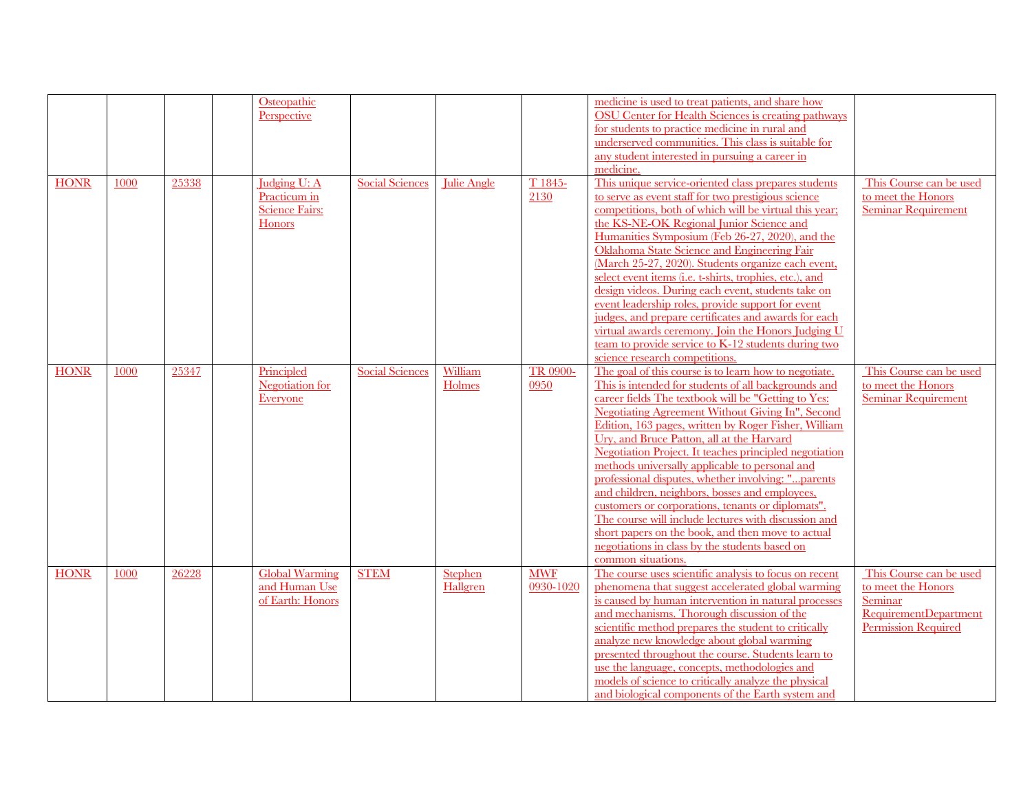|             |      |       | Osteopathic<br>Perspective                                             |                        |                     |                         | medicine is used to treat patients, and share how<br>OSU Center for Health Sciences is creating pathways<br>for students to practice medicine in rural and<br>underserved communities. This class is suitable for<br>any student interested in pursuing a career in<br>medicine.                                                                                                                                                                                                                                                                                                                                                                                                                                                                                                                   |                                                                                                                 |
|-------------|------|-------|------------------------------------------------------------------------|------------------------|---------------------|-------------------------|----------------------------------------------------------------------------------------------------------------------------------------------------------------------------------------------------------------------------------------------------------------------------------------------------------------------------------------------------------------------------------------------------------------------------------------------------------------------------------------------------------------------------------------------------------------------------------------------------------------------------------------------------------------------------------------------------------------------------------------------------------------------------------------------------|-----------------------------------------------------------------------------------------------------------------|
| <b>HONR</b> | 1000 | 25338 | Judging U: A<br>Practicum in<br><b>Science Fairs:</b><br><b>Honors</b> | Social Sciences        | Julie Angle         | T 1845-<br>2130         | This unique service-oriented class prepares students<br>to serve as event staff for two prestigious science<br>competitions, both of which will be virtual this year;<br>the KS-NE-OK Regional Junior Science and<br>Humanities Symposium (Feb 26-27, 2020), and the<br>Oklahoma State Science and Engineering Fair<br>(March 25-27, 2020). Students organize each event,<br>select event items (i.e. t-shirts, trophies, etc.), and<br>design videos. During each event, students take on<br>event leadership roles, provide support for event<br>judges, and prepare certificates and awards for each<br>virtual awards ceremony. Join the Honors Judging U<br>team to provide service to K-12 students during two<br>science research competitions.                                             | This Course can be used<br>to meet the Honors<br><b>Seminar Requirement</b>                                     |
| <b>HONR</b> | 1000 | 25347 | Principled<br><b>Negotiation</b> for<br>Everyone                       | <b>Social Sciences</b> | William<br>Holmes   | TR 0900-<br>0950        | The goal of this course is to learn how to negotiate.<br>This is intended for students of all backgrounds and<br>career fields The textbook will be "Getting to Yes:<br><b>Negotiating Agreement Without Giving In", Second</b><br>Edition, 163 pages, written by Roger Fisher, William<br>Ury, and Bruce Patton, all at the Harvard<br>Negotiation Project. It teaches principled negotiation<br>methods universally applicable to personal and<br>professional disputes, whether involving: "parents<br>and children, neighbors, bosses and employees,<br>customers or corporations, tenants or diplomats".<br>The course will include lectures with discussion and<br>short papers on the book, and then move to actual<br>negotiations in class by the students based on<br>common situations. | This Course can be used<br>to meet the Honors<br><b>Seminar Requirement</b>                                     |
| <b>HONR</b> | 1000 | 26228 | <b>Global Warming</b><br>and Human Use<br>of Earth: Honors             | <b>STEM</b>            | Stephen<br>Hallgren | <b>MWF</b><br>0930-1020 | The course uses scientific analysis to focus on recent<br>phenomena that suggest accelerated global warming<br>is caused by human intervention in natural processes<br>and mechanisms. Thorough discussion of the<br>scientific method prepares the student to critically<br>analyze new knowledge about global warming<br>presented throughout the course. Students learn to<br>use the language, concepts, methodologies and<br>models of science to critically analyze the physical<br>and biological components of the Earth system and                                                                                                                                                                                                                                                        | This Course can be used<br>to meet the Honors<br>Seminar<br><b>RequirementDepartment</b><br>Permission Required |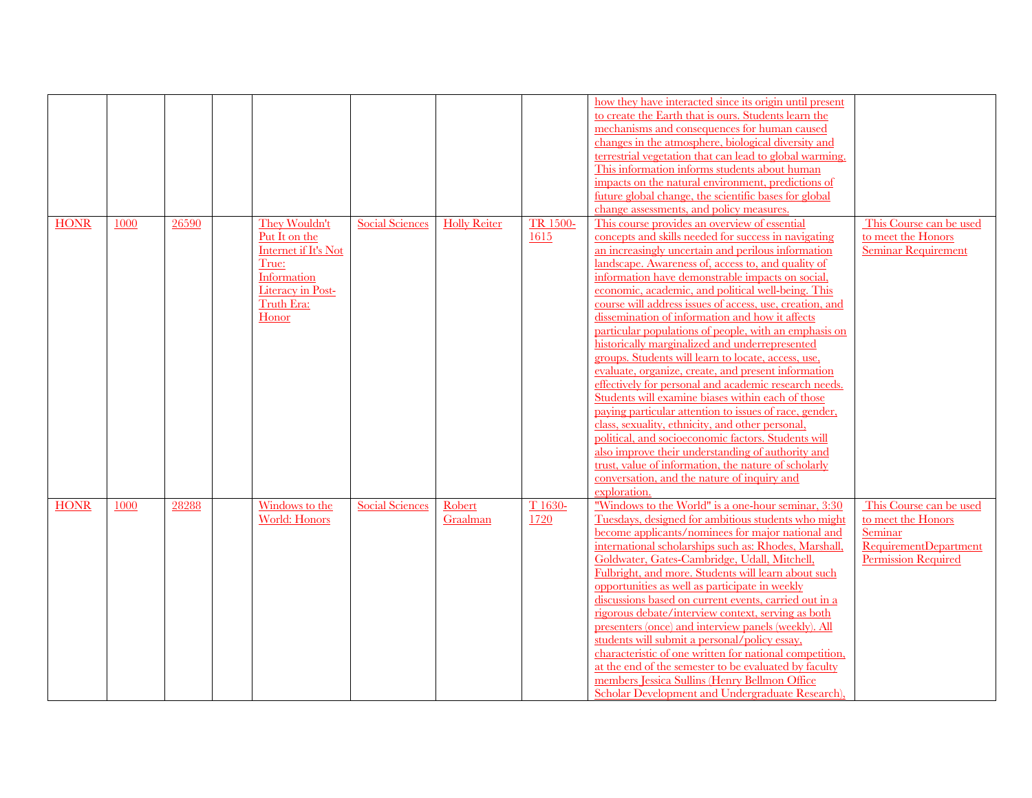|             |      |       |                          |                        |                     |          | how they have interacted since its origin until present  |                              |
|-------------|------|-------|--------------------------|------------------------|---------------------|----------|----------------------------------------------------------|------------------------------|
|             |      |       |                          |                        |                     |          | to create the Earth that is ours. Students learn the     |                              |
|             |      |       |                          |                        |                     |          | mechanisms and consequences for human caused             |                              |
|             |      |       |                          |                        |                     |          | changes in the atmosphere, biological diversity and      |                              |
|             |      |       |                          |                        |                     |          | terrestrial vegetation that can lead to global warming.  |                              |
|             |      |       |                          |                        |                     |          | This information informs students about human            |                              |
|             |      |       |                          |                        |                     |          | impacts on the natural environment, predictions of       |                              |
|             |      |       |                          |                        |                     |          | future global change, the scientific bases for global    |                              |
|             |      |       |                          |                        |                     |          | change assessments, and policy measures.                 |                              |
| <b>HONR</b> | 1000 | 26590 | They Wouldn't            | <b>Social Sciences</b> | <b>Holly Reiter</b> | TR 1500- | This course provides an overview of essential            | This Course can be used      |
|             |      |       | Put It on the            |                        |                     | 1615     | concepts and skills needed for success in navigating     | to meet the Honors           |
|             |      |       | Internet if It's Not     |                        |                     |          | an increasingly uncertain and perilous information       | <b>Seminar Requirement</b>   |
|             |      |       | True:                    |                        |                     |          | landscape. Awareness of, access to, and quality of       |                              |
|             |      |       | Information              |                        |                     |          | information have demonstrable impacts on social.         |                              |
|             |      |       | <b>Literacy in Post-</b> |                        |                     |          | economic, academic, and political well-being. This       |                              |
|             |      |       | Truth Era:               |                        |                     |          | course will address issues of access, use, creation, and |                              |
|             |      |       | Honor                    |                        |                     |          | dissemination of information and how it affects          |                              |
|             |      |       |                          |                        |                     |          | particular populations of people, with an emphasis on    |                              |
|             |      |       |                          |                        |                     |          | historically marginalized and underrepresented           |                              |
|             |      |       |                          |                        |                     |          | groups. Students will learn to locate, access, use,      |                              |
|             |      |       |                          |                        |                     |          | evaluate, organize, create, and present information      |                              |
|             |      |       |                          |                        |                     |          | effectively for personal and academic research needs.    |                              |
|             |      |       |                          |                        |                     |          | Students will examine biases within each of those        |                              |
|             |      |       |                          |                        |                     |          | paying particular attention to issues of race, gender,   |                              |
|             |      |       |                          |                        |                     |          | class, sexuality, ethnicity, and other personal,         |                              |
|             |      |       |                          |                        |                     |          | political, and socioeconomic factors. Students will      |                              |
|             |      |       |                          |                        |                     |          | also improve their understanding of authority and        |                              |
|             |      |       |                          |                        |                     |          | trust, value of information, the nature of scholarly     |                              |
|             |      |       |                          |                        |                     |          | conversation, and the nature of inquiry and              |                              |
|             |      |       |                          |                        |                     |          | exploration.                                             |                              |
| <b>HONR</b> | 1000 | 28288 | Windows to the           | <b>Social Sciences</b> | Robert              | T 1630-  | "Windows to the World" is a one-hour seminar, 3:30       | This Course can be used      |
|             |      |       | World: Honors            |                        | Graalman            | 1720     | Tuesdays, designed for ambitious students who might      | to meet the Honors           |
|             |      |       |                          |                        |                     |          | become applicants/nominees for major national and        | Seminar                      |
|             |      |       |                          |                        |                     |          | international scholarships such as: Rhodes, Marshall,    | <b>RequirementDepartment</b> |
|             |      |       |                          |                        |                     |          | Goldwater, Gates-Cambridge, Udall, Mitchell,             | <b>Permission Required</b>   |
|             |      |       |                          |                        |                     |          | Fulbright, and more. Students will learn about such      |                              |
|             |      |       |                          |                        |                     |          | opportunities as well as participate in weekly           |                              |
|             |      |       |                          |                        |                     |          | discussions based on current events, carried out in a    |                              |
|             |      |       |                          |                        |                     |          | rigorous debate/interview context, serving as both       |                              |
|             |      |       |                          |                        |                     |          | presenters (once) and interview panels (weekly). All     |                              |
|             |      |       |                          |                        |                     |          | students will submit a personal/policy essay,            |                              |
|             |      |       |                          |                        |                     |          | characteristic of one written for national competition,  |                              |
|             |      |       |                          |                        |                     |          | at the end of the semester to be evaluated by faculty    |                              |
|             |      |       |                          |                        |                     |          | members Jessica Sullins (Henry Bellmon Office)           |                              |
|             |      |       |                          |                        |                     |          | Scholar Development and Undergraduate Research),         |                              |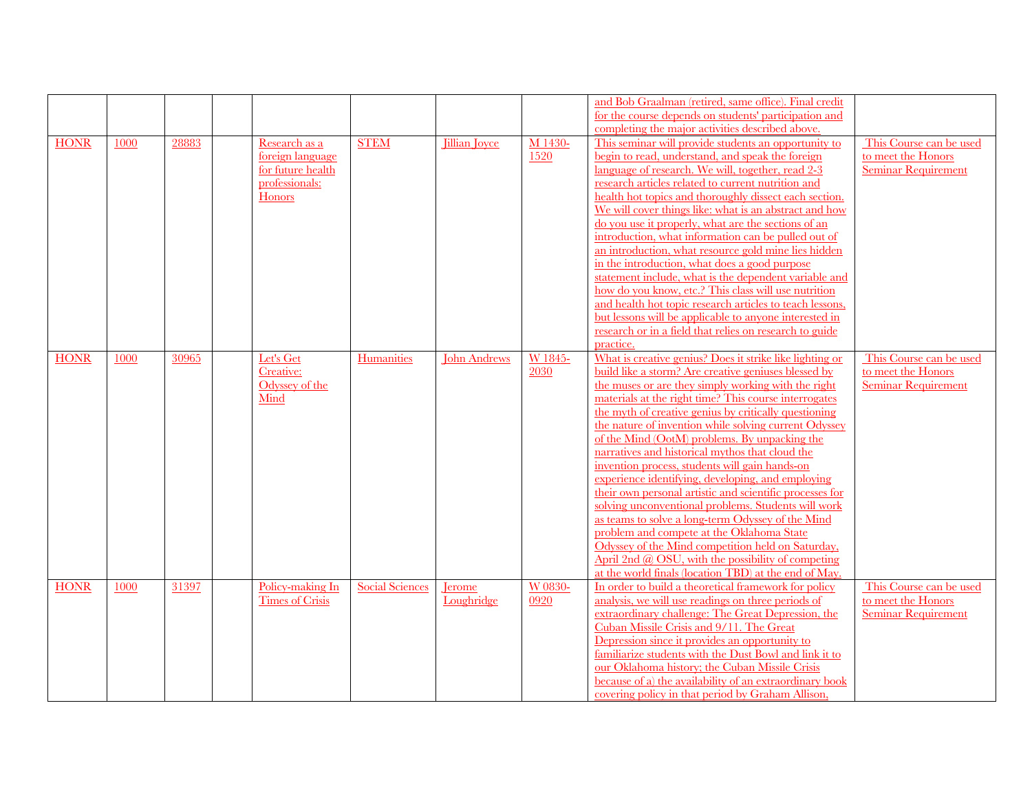|             |      |       |                        |                        |                      |         | and Bob Graalman (retired, same office). Final credit     |                            |
|-------------|------|-------|------------------------|------------------------|----------------------|---------|-----------------------------------------------------------|----------------------------|
|             |      |       |                        |                        |                      |         | for the course depends on students' participation and     |                            |
|             |      |       |                        |                        |                      |         | completing the major activities described above.          |                            |
| <b>HONR</b> | 1000 | 28883 | Research as a          | <b>STEM</b>            | <b>Jillian</b> Joyce | M 1430- | This seminar will provide students an opportunity to      | This Course can be used    |
|             |      |       | foreign language       |                        |                      | 1520    | begin to read, understand, and speak the foreign          | to meet the Honors         |
|             |      |       | for future health      |                        |                      |         | language of research. We will, together, read 2-3         | <b>Seminar Requirement</b> |
|             |      |       | professionals:         |                        |                      |         | research articles related to current nutrition and        |                            |
|             |      |       | <b>Honors</b>          |                        |                      |         | health hot topics and thoroughly dissect each section.    |                            |
|             |      |       |                        |                        |                      |         | We will cover things like: what is an abstract and how    |                            |
|             |      |       |                        |                        |                      |         | do you use it properly, what are the sections of an       |                            |
|             |      |       |                        |                        |                      |         | introduction, what information can be pulled out of       |                            |
|             |      |       |                        |                        |                      |         |                                                           |                            |
|             |      |       |                        |                        |                      |         | an introduction, what resource gold mine lies hidden      |                            |
|             |      |       |                        |                        |                      |         | in the introduction, what does a good purpose             |                            |
|             |      |       |                        |                        |                      |         | statement include, what is the dependent variable and     |                            |
|             |      |       |                        |                        |                      |         | how do you know, etc.? This class will use nutrition      |                            |
|             |      |       |                        |                        |                      |         | and health hot topic research articles to teach lessons,  |                            |
|             |      |       |                        |                        |                      |         | but lessons will be applicable to anyone interested in    |                            |
|             |      |       |                        |                        |                      |         | research or in a field that relies on research to guide   |                            |
|             |      |       |                        |                        |                      |         | practice.                                                 |                            |
| <b>HONR</b> | 1000 | 30965 | Let's Get              | Humanities             | <b>John Andrews</b>  | W 1845- | What is creative genius? Does it strike like lighting or  | This Course can be used    |
|             |      |       | Creative:              |                        |                      | 2030    | build like a storm? Are creative geniuses blessed by      | to meet the Honors         |
|             |      |       | Odyssey of the         |                        |                      |         | the muses or are they simply working with the right       | <b>Seminar Requirement</b> |
|             |      |       | Mind                   |                        |                      |         | materials at the right time? This course interrogates     |                            |
|             |      |       |                        |                        |                      |         | the myth of creative genius by critically questioning     |                            |
|             |      |       |                        |                        |                      |         | the nature of invention while solving current Odyssey     |                            |
|             |      |       |                        |                        |                      |         | of the Mind (OotM) problems. By unpacking the             |                            |
|             |      |       |                        |                        |                      |         | narratives and historical mythos that cloud the           |                            |
|             |      |       |                        |                        |                      |         | invention process, students will gain hands-on            |                            |
|             |      |       |                        |                        |                      |         | experience identifying, developing, and employing         |                            |
|             |      |       |                        |                        |                      |         | their own personal artistic and scientific processes for  |                            |
|             |      |       |                        |                        |                      |         | solving unconventional problems. Students will work       |                            |
|             |      |       |                        |                        |                      |         | as teams to solve a long-term Odyssey of the Mind         |                            |
|             |      |       |                        |                        |                      |         | problem and compete at the Oklahoma State                 |                            |
|             |      |       |                        |                        |                      |         | Odyssey of the Mind competition held on Saturday,         |                            |
|             |      |       |                        |                        |                      |         | April 2nd $\omega$ OSU, with the possibility of competing |                            |
|             |      |       |                        |                        |                      |         | at the world finals (location TBD) at the end of May.     |                            |
| <b>HONR</b> | 1000 | 31397 | Policy-making In       | <b>Social Sciences</b> | <b>I</b> erome       | W 0830- | In order to build a theoretical framework for policy      | This Course can be used    |
|             |      |       | <b>Times of Crisis</b> |                        | Loughridge           | 0920    | analysis, we will use readings on three periods of        | to meet the Honors         |
|             |      |       |                        |                        |                      |         | extraordinary challenge: The Great Depression, the        | <b>Seminar Requirement</b> |
|             |      |       |                        |                        |                      |         | Cuban Missile Crisis and 9/11. The Great                  |                            |
|             |      |       |                        |                        |                      |         | Depression since it provides an opportunity to            |                            |
|             |      |       |                        |                        |                      |         | familiarize students with the Dust Bowl and link it to    |                            |
|             |      |       |                        |                        |                      |         | our Oklahoma history; the Cuban Missile Crisis            |                            |
|             |      |       |                        |                        |                      |         | because of a) the availability of an extraordinary book   |                            |
|             |      |       |                        |                        |                      |         |                                                           |                            |
|             |      |       |                        |                        |                      |         | covering policy in that period by Graham Allison.         |                            |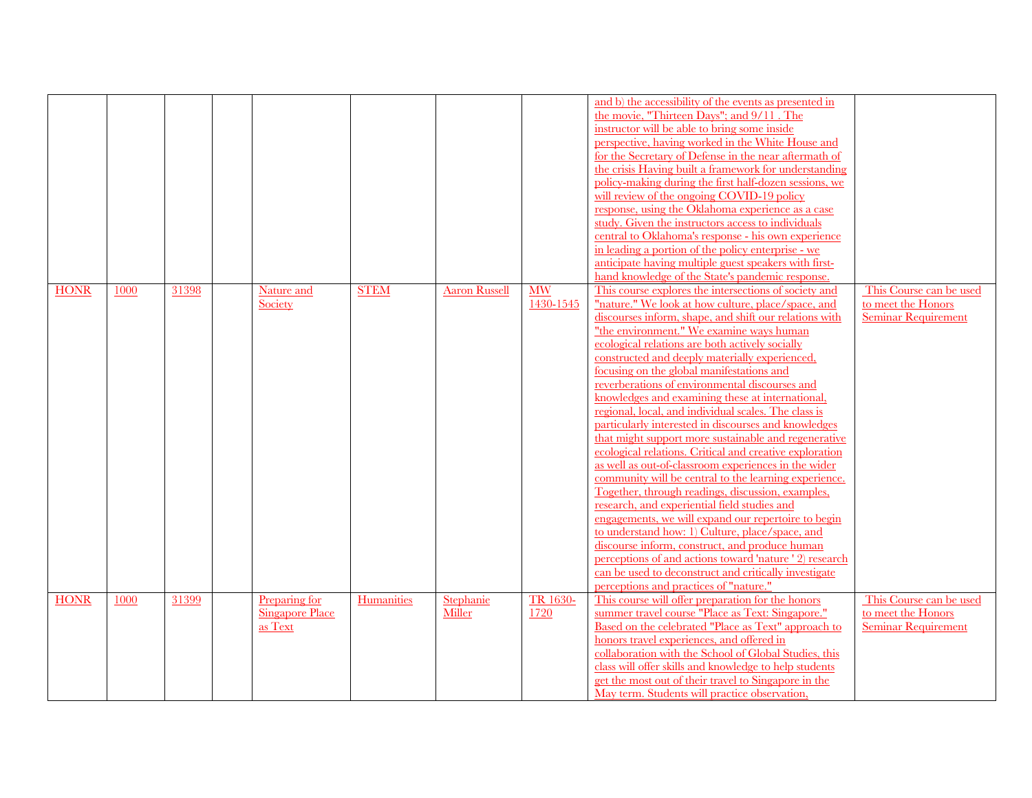|             |      |       |                                                    |             |                      |                        | and b) the accessibility of the events as presented in<br>the movie, "Thirteen Days"; and 9/11. The<br>instructor will be able to bring some inside<br>perspective, having worked in the White House and<br>for the Secretary of Defense in the near aftermath of<br>the crisis Having built a framework for understanding<br>policy-making during the first half-dozen sessions, we<br>will review of the ongoing COVID-19 policy<br>response, using the Oklahoma experience as a case<br>study. Given the instructors access to individuals<br>central to Oklahoma's response - his own experience<br>in leading a portion of the policy enterprise - we<br>anticipate having multiple guest speakers with first-<br>hand knowledge of the State's pandemic response.                                                                                                                                                                                                                                                                                                                                                                                                                                                                                      |                                                                             |
|-------------|------|-------|----------------------------------------------------|-------------|----------------------|------------------------|--------------------------------------------------------------------------------------------------------------------------------------------------------------------------------------------------------------------------------------------------------------------------------------------------------------------------------------------------------------------------------------------------------------------------------------------------------------------------------------------------------------------------------------------------------------------------------------------------------------------------------------------------------------------------------------------------------------------------------------------------------------------------------------------------------------------------------------------------------------------------------------------------------------------------------------------------------------------------------------------------------------------------------------------------------------------------------------------------------------------------------------------------------------------------------------------------------------------------------------------------------------|-----------------------------------------------------------------------------|
| <b>HONR</b> | 1000 | 31398 | Nature and<br>Society                              | <b>STEM</b> | <b>Aaron Russell</b> | <b>MW</b><br>1430-1545 | This course explores the intersections of society and<br>"nature." We look at how culture, place/space, and<br>discourses inform, shape, and shift our relations with<br>"the environment." We examine ways human<br>ecological relations are both actively socially<br>constructed and deeply materially experienced,<br>focusing on the global manifestations and<br>reverberations of environmental discourses and<br>knowledges and examining these at international,<br>regional, local, and individual scales. The class is<br>particularly interested in discourses and knowledges<br>that might support more sustainable and regenerative<br>ecological relations. Critical and creative exploration<br>as well as out-of-classroom experiences in the wider<br>community will be central to the learning experience.<br>Together, through readings, discussion, examples,<br>research, and experiential field studies and<br>engagements, we will expand our repertoire to begin<br>to understand how: 1) Culture, place/space, and<br>discourse inform, construct, and produce human<br>perceptions of and actions toward 'nature ' 2) research<br>can be used to deconstruct and critically investigate<br>perceptions and practices of "nature." | This Course can be used<br>to meet the Honors<br><b>Seminar Requirement</b> |
| <b>HONR</b> | 1000 | 31399 | Preparing for<br><b>Singapore Place</b><br>as Text | Humanities  | Stephanie<br>Miller  | TR 1630-<br>1720       | This course will offer preparation for the honors<br>summer travel course "Place as Text: Singapore."<br>Based on the celebrated "Place as Text" approach to<br>honors travel experiences, and offered in<br>collaboration with the School of Global Studies, this<br>class will offer skills and knowledge to help students<br>get the most out of their travel to Singapore in the<br>May term. Students will practice observation,                                                                                                                                                                                                                                                                                                                                                                                                                                                                                                                                                                                                                                                                                                                                                                                                                        | This Course can be used<br>to meet the Honors<br><b>Seminar Requirement</b> |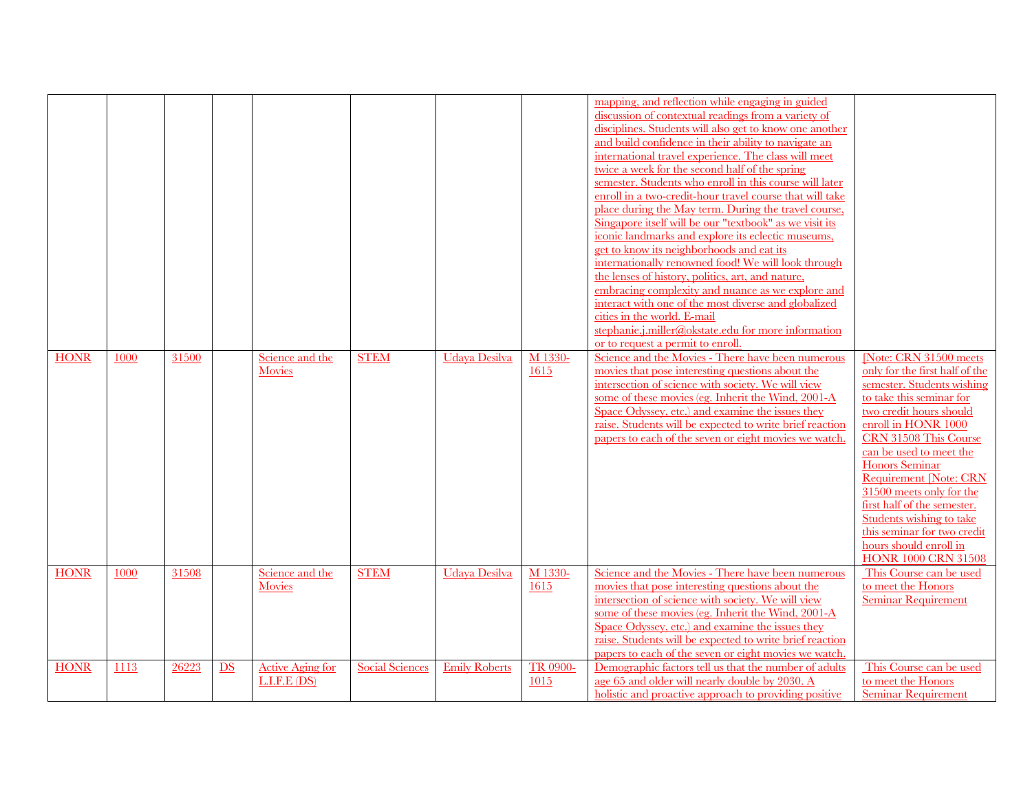|             |      |       |    |                                        |                        |                      |                  | mapping, and reflection while engaging in guided<br>discussion of contextual readings from a variety of<br>disciplines. Students will also get to know one another<br>and build confidence in their ability to navigate an<br>international travel experience. The class will meet<br>twice a week for the second half of the spring<br>semester. Students who enroll in this course will later<br>enroll in a two-credit-hour travel course that will take<br>place during the May term. During the travel course.<br>Singapore itself will be our "textbook" as we visit its<br>iconic landmarks and explore its eclectic museums,<br>get to know its neighborhoods and eat its<br>internationally renowned food! We will look through<br>the lenses of history, politics, art, and nature,<br>embracing complexity and nuance as we explore and<br>interact with one of the most diverse and globalized<br>cities in the world. E-mail<br>stephanie.j.miller@okstate.edu for more information<br>or to request a permit to enroll |                                                                                                                                                                                                                                                                                                                                                                                                                                                                  |
|-------------|------|-------|----|----------------------------------------|------------------------|----------------------|------------------|--------------------------------------------------------------------------------------------------------------------------------------------------------------------------------------------------------------------------------------------------------------------------------------------------------------------------------------------------------------------------------------------------------------------------------------------------------------------------------------------------------------------------------------------------------------------------------------------------------------------------------------------------------------------------------------------------------------------------------------------------------------------------------------------------------------------------------------------------------------------------------------------------------------------------------------------------------------------------------------------------------------------------------------|------------------------------------------------------------------------------------------------------------------------------------------------------------------------------------------------------------------------------------------------------------------------------------------------------------------------------------------------------------------------------------------------------------------------------------------------------------------|
| <b>HONR</b> | 1000 | 31500 |    | Science and the<br>Movies              | <b>STEM</b>            | Udaya Desilva        | M 1330-<br>1615  | Science and the Movies - There have been numerous<br>movies that pose interesting questions about the<br>intersection of science with society. We will view<br>some of these movies (eg. Inherit the Wind, 2001-A<br>Space Odyssey, etc.) and examine the issues they<br>raise. Students will be expected to write brief reaction<br>papers to each of the seven or eight movies we watch.                                                                                                                                                                                                                                                                                                                                                                                                                                                                                                                                                                                                                                           | [Note: CRN 31500 meets<br>only for the first half of the<br>semester. Students wishing<br>to take this seminar for<br>two credit hours should<br>enroll in HONR 1000<br>CRN 31508 This Course<br>can be used to meet the<br><b>Honors</b> Seminar<br><b>Requirement [Note: CRN</b><br>31500 meets only for the<br>first half of the semester.<br>Students wishing to take<br>this seminar for two credit<br>hours should enroll in<br><b>HONR 1000 CRN 31508</b> |
| <b>HONR</b> | 1000 | 31508 |    | Science and the<br>Movies              | <b>STEM</b>            | Udaya Desilva        | M 1330-<br>1615  | Science and the Movies - There have been numerous<br>movies that pose interesting questions about the<br>intersection of science with society. We will view<br>some of these movies (eg. Inherit the Wind, 2001-A<br>Space Odyssey, etc.) and examine the issues they<br>raise. Students will be expected to write brief reaction<br>papers to each of the seven or eight movies we watch.                                                                                                                                                                                                                                                                                                                                                                                                                                                                                                                                                                                                                                           | This Course can be used<br>to meet the Honors<br><b>Seminar Requirement</b>                                                                                                                                                                                                                                                                                                                                                                                      |
| <b>HONR</b> | 1113 | 26223 | DS | <b>Active Aging for</b><br>L.I.F.E(DS) | <b>Social Sciences</b> | <b>Emily Roberts</b> | TR 0900-<br>1015 | Demographic factors tell us that the number of adults<br>age 65 and older will nearly double by 2030. A<br>holistic and proactive approach to providing positive                                                                                                                                                                                                                                                                                                                                                                                                                                                                                                                                                                                                                                                                                                                                                                                                                                                                     | This Course can be used<br>to meet the Honors<br><b>Seminar Requirement</b>                                                                                                                                                                                                                                                                                                                                                                                      |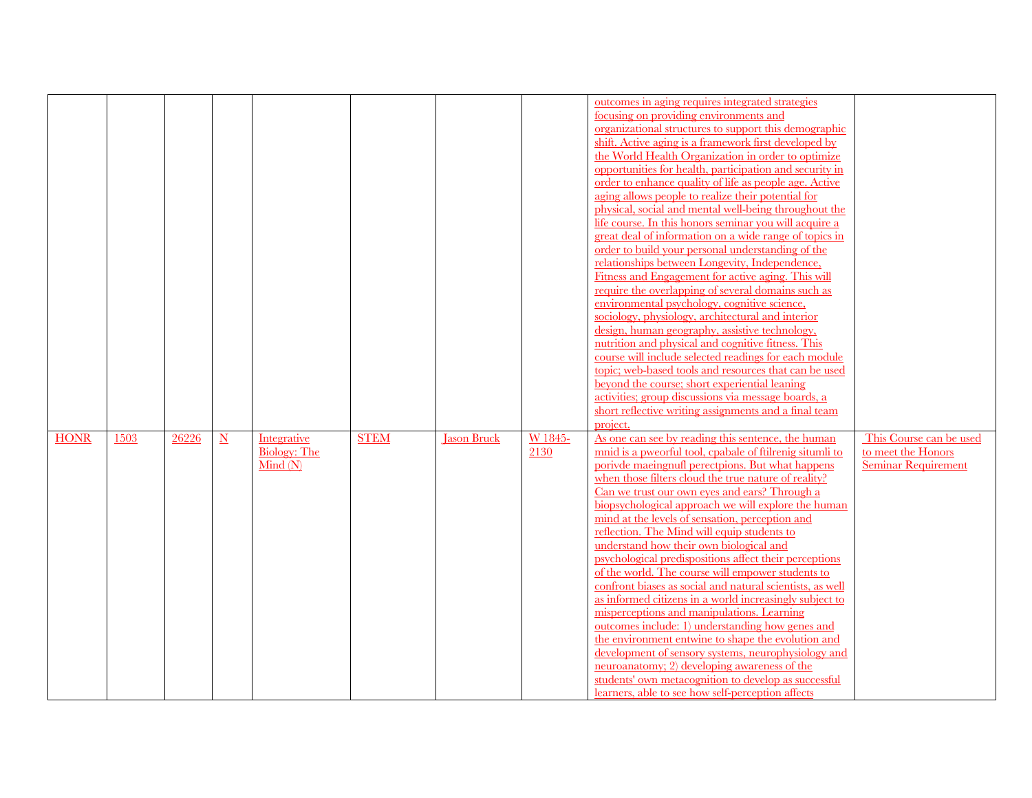|             |      |       |                          |                                               |             |                    |                 | outcomes in aging requires integrated strategies<br>focusing on providing environments and<br>organizational structures to support this demographic<br>shift. Active aging is a framework first developed by<br>the World Health Organization in order to optimize<br>opportunities for health, participation and security in<br>order to enhance quality of life as people age. Active<br>aging allows people to realize their potential for<br>physical, social and mental well-being throughout the<br>life course. In this honors seminar you will acquire a<br>great deal of information on a wide range of topics in<br>order to build your personal understanding of the<br>relationships between Longevity, Independence,<br>Fitness and Engagement for active aging. This will<br>require the overlapping of several domains such as<br>environmental psychology, cognitive science,<br>sociology, physiology, architectural and interior<br>design, human geography, assistive technology,<br>nutrition and physical and cognitive fitness. This<br>course will include selected readings for each module<br>topic; web-based tools and resources that can be used<br>beyond the course; short experiential leaning<br>activities; group discussions via message boards, a<br>short reflective writing assignments and a final team |                                                                             |
|-------------|------|-------|--------------------------|-----------------------------------------------|-------------|--------------------|-----------------|-----------------------------------------------------------------------------------------------------------------------------------------------------------------------------------------------------------------------------------------------------------------------------------------------------------------------------------------------------------------------------------------------------------------------------------------------------------------------------------------------------------------------------------------------------------------------------------------------------------------------------------------------------------------------------------------------------------------------------------------------------------------------------------------------------------------------------------------------------------------------------------------------------------------------------------------------------------------------------------------------------------------------------------------------------------------------------------------------------------------------------------------------------------------------------------------------------------------------------------------------------------------------------------------------------------------------------------------------|-----------------------------------------------------------------------------|
| <b>HONR</b> | 1503 | 26226 | $\underline{\mathbf{N}}$ | Integrative<br><b>Biology: The</b><br>Mind(N) | <b>STEM</b> | <b>Jason Bruck</b> | W 1845-<br>2130 | project.<br>As one can see by reading this sentence, the human<br>mnid is a pweorful tool, cpabale of ftilrenig situmli to<br>porivde maeingnufl perectpions. But what happens<br>when those filters cloud the true nature of reality?<br>Can we trust our own eyes and ears? Through a<br>biopsychological approach we will explore the human<br>mind at the levels of sensation, perception and<br>reflection. The Mind will equip students to<br>understand how their own biological and<br>psychological predispositions affect their perceptions<br>of the world. The course will empower students to<br>confront biases as social and natural scientists, as well<br>as informed citizens in a world increasingly subject to<br>misperceptions and manipulations. Learning<br><u>outcomes include: 1)</u> understanding how genes and<br>the environment entwine to shape the evolution and<br>development of sensory systems, neurophysiology and<br>neuroanatomy; 2) developing awareness of the<br>students' own metacognition to develop as successful<br>learners, able to see how self-perception affects                                                                                                                                                                                                                         | This Course can be used<br>to meet the Honors<br><b>Seminar Requirement</b> |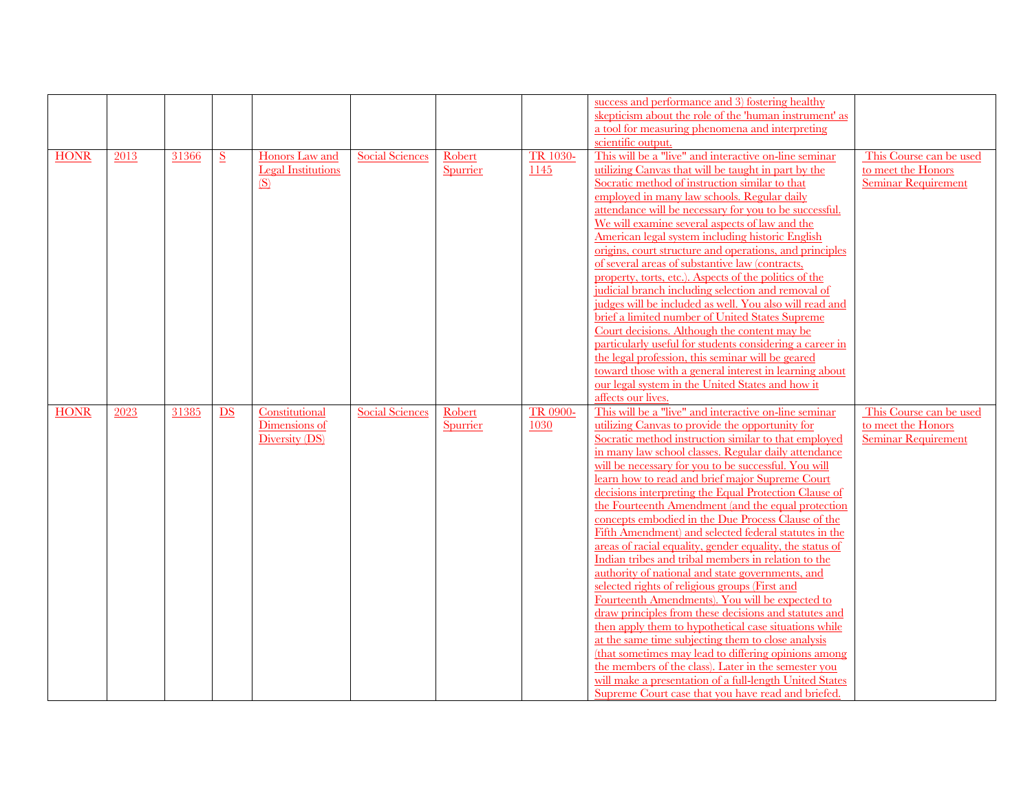|             |      |       |    |                           |                        |          |                 | success and performance and 3) fostering healthy                                                              |                            |
|-------------|------|-------|----|---------------------------|------------------------|----------|-----------------|---------------------------------------------------------------------------------------------------------------|----------------------------|
|             |      |       |    |                           |                        |          |                 | skepticism about the role of the 'human instrument' as                                                        |                            |
|             |      |       |    |                           |                        |          |                 | a tool for measuring phenomena and interpreting                                                               |                            |
|             |      |       |    |                           |                        |          |                 | scientific output.                                                                                            |                            |
| <b>HONR</b> | 2013 | 31366 | S  | <b>Honors</b> Law and     | <b>Social Sciences</b> | Robert   | <b>TR 1030-</b> | This will be a "live" and interactive on-line seminar                                                         | This Course can be used    |
|             |      |       |    | <b>Legal Institutions</b> |                        | Spurrier | 1145            | utilizing Canvas that will be taught in part by the                                                           | to meet the Honors         |
|             |      |       |    | <u>(S)</u>                |                        |          |                 | Socratic method of instruction similar to that                                                                | <b>Seminar Requirement</b> |
|             |      |       |    |                           |                        |          |                 | employed in many law schools. Regular daily                                                                   |                            |
|             |      |       |    |                           |                        |          |                 | attendance will be necessary for you to be successful.                                                        |                            |
|             |      |       |    |                           |                        |          |                 | We will examine several aspects of law and the                                                                |                            |
|             |      |       |    |                           |                        |          |                 | American legal system including historic English                                                              |                            |
|             |      |       |    |                           |                        |          |                 | origins, court structure and operations, and principles                                                       |                            |
|             |      |       |    |                           |                        |          |                 | of several areas of substantive law (contracts,                                                               |                            |
|             |      |       |    |                           |                        |          |                 | property, torts, etc.). Aspects of the politics of the                                                        |                            |
|             |      |       |    |                           |                        |          |                 | judicial branch including selection and removal of                                                            |                            |
|             |      |       |    |                           |                        |          |                 | judges will be included as well. You also will read and                                                       |                            |
|             |      |       |    |                           |                        |          |                 | brief a limited number of United States Supreme                                                               |                            |
|             |      |       |    |                           |                        |          |                 | Court decisions. Although the content may be                                                                  |                            |
|             |      |       |    |                           |                        |          |                 | particularly useful for students considering a career in                                                      |                            |
|             |      |       |    |                           |                        |          |                 | the legal profession, this seminar will be geared                                                             |                            |
|             |      |       |    |                           |                        |          |                 | toward those with a general interest in learning about                                                        |                            |
|             |      |       |    |                           |                        |          |                 | our legal system in the United States and how it                                                              |                            |
|             |      |       |    |                           |                        |          |                 |                                                                                                               |                            |
|             |      |       |    |                           |                        |          |                 | affects our lives.                                                                                            |                            |
| <b>HONR</b> | 2023 | 31385 | DS | Constitutional            | <b>Social Sciences</b> | Robert   | TR 0900-        | This will be a "live" and interactive on-line seminar                                                         | This Course can be used    |
|             |      |       |    | Dimensions of             |                        | Spurrier | 1030            | utilizing Canvas to provide the opportunity for                                                               | to meet the Honors         |
|             |      |       |    | Diversity (DS)            |                        |          |                 | Socratic method instruction similar to that employed                                                          | <b>Seminar Requirement</b> |
|             |      |       |    |                           |                        |          |                 | in many law school classes. Regular daily attendance                                                          |                            |
|             |      |       |    |                           |                        |          |                 | will be necessary for you to be successful. You will                                                          |                            |
|             |      |       |    |                           |                        |          |                 | learn how to read and brief major Supreme Court                                                               |                            |
|             |      |       |    |                           |                        |          |                 | decisions interpreting the Equal Protection Clause of                                                         |                            |
|             |      |       |    |                           |                        |          |                 | the Fourteenth Amendment (and the equal protection                                                            |                            |
|             |      |       |    |                           |                        |          |                 | concepts embodied in the Due Process Clause of the                                                            |                            |
|             |      |       |    |                           |                        |          |                 | Fifth Amendment) and selected federal statutes in the                                                         |                            |
|             |      |       |    |                           |                        |          |                 | areas of racial equality, gender equality, the status of                                                      |                            |
|             |      |       |    |                           |                        |          |                 | Indian tribes and tribal members in relation to the                                                           |                            |
|             |      |       |    |                           |                        |          |                 | authority of national and state governments, and                                                              |                            |
|             |      |       |    |                           |                        |          |                 | selected rights of religious groups (First and                                                                |                            |
|             |      |       |    |                           |                        |          |                 | Fourteenth Amendments). You will be expected to                                                               |                            |
|             |      |       |    |                           |                        |          |                 | draw principles from these decisions and statutes and                                                         |                            |
|             |      |       |    |                           |                        |          |                 | then apply them to hypothetical case situations while                                                         |                            |
|             |      |       |    |                           |                        |          |                 | at the same time subjecting them to close analysis                                                            |                            |
|             |      |       |    |                           |                        |          |                 | (that sometimes may lead to differing opinions among                                                          |                            |
|             |      |       |    |                           |                        |          |                 | the members of the class). Later in the semester you                                                          |                            |
|             |      |       |    |                           |                        |          |                 | will make a presentation of a full-length United States<br>Supreme Court case that you have read and briefed. |                            |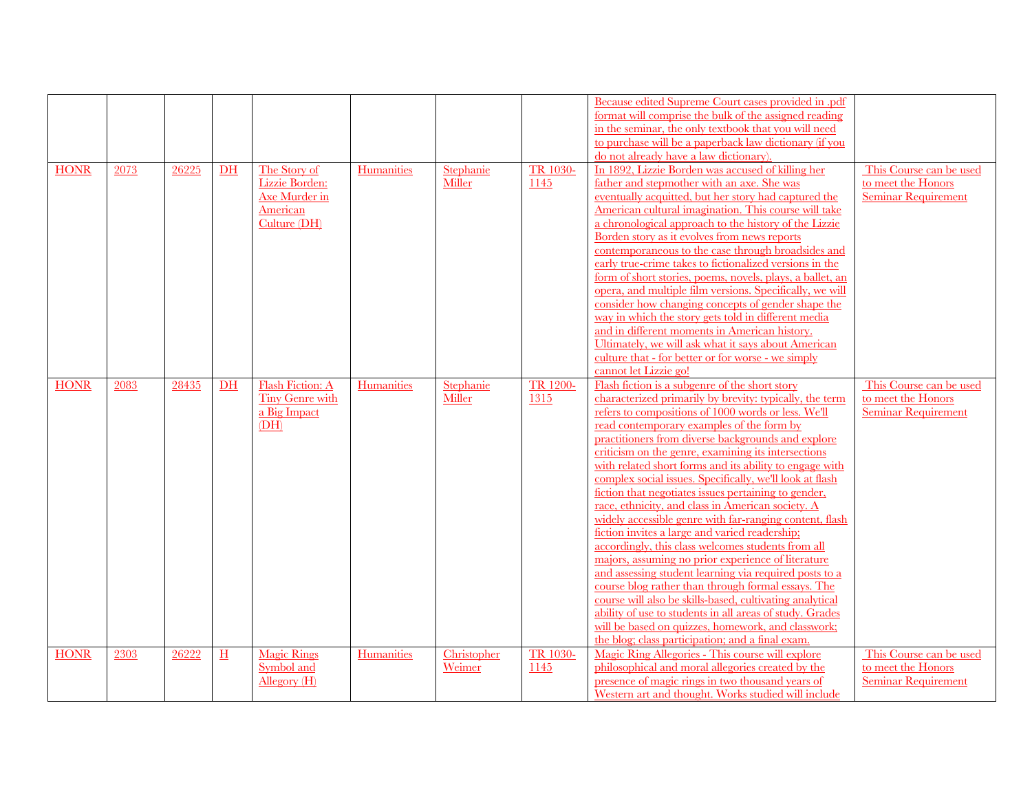| <b>HONR</b> | 2073 | 26225 | DH          | The Story of<br>Lizzie Borden:<br>Axe Murder in<br>American<br>Culture (DH) | Humanities        | Stephanie<br>Miller   | TR 1030-<br>1145        | Because edited Supreme Court cases provided in .pdf<br>format will comprise the bulk of the assigned reading<br>in the seminar, the only textbook that you will need<br>to purchase will be a paperback law dictionary (if you<br>do not already have a law dictionary).<br>In 1892, Lizzie Borden was accused of killing her<br>father and stepmother with an axe. She was<br>eventually acquitted, but her story had captured the<br>American cultural imagination. This course will take<br>a chronological approach to the history of the Lizzie                                                                                                                                                                                                                                                                                                                                                                                                                                                                                                                                                                                      | This Course can be used<br>to meet the Honors<br><b>Seminar Requirement</b> |
|-------------|------|-------|-------------|-----------------------------------------------------------------------------|-------------------|-----------------------|-------------------------|-------------------------------------------------------------------------------------------------------------------------------------------------------------------------------------------------------------------------------------------------------------------------------------------------------------------------------------------------------------------------------------------------------------------------------------------------------------------------------------------------------------------------------------------------------------------------------------------------------------------------------------------------------------------------------------------------------------------------------------------------------------------------------------------------------------------------------------------------------------------------------------------------------------------------------------------------------------------------------------------------------------------------------------------------------------------------------------------------------------------------------------------|-----------------------------------------------------------------------------|
|             |      |       |             |                                                                             |                   |                       |                         | Borden story as it evolves from news reports<br>contemporaneous to the case through broadsides and<br>early true-crime takes to fictionalized versions in the<br>form of short stories, poems, novels, plays, a ballet, an<br>opera, and multiple film versions. Specifically, we will<br>consider how changing concepts of gender shape the<br>way in which the story gets told in different media<br>and in different moments in American history.<br>Ultimately, we will ask what it says about American<br>culture that - for better or for worse - we simply<br>cannot let Lizzie go!                                                                                                                                                                                                                                                                                                                                                                                                                                                                                                                                                |                                                                             |
| <b>HONR</b> | 2083 | 28435 | $DH$        | Flash Fiction: A<br>Tiny Genre with<br>a Big Impact<br>(DH)                 | <b>Humanities</b> | Stephanie<br>Miller   | <b>TR 1200-</b><br>1315 | Flash fiction is a subgenre of the short story<br>characterized primarily by brevity: typically, the term<br>refers to compositions of 1000 words or less. We'll<br>read contemporary examples of the form by<br>practitioners from diverse backgrounds and explore<br>criticism on the genre, examining its intersections<br>with related short forms and its ability to engage with<br>complex social issues. Specifically, we'll look at flash<br>fiction that negotiates issues pertaining to gender,<br>race, ethnicity, and class in American society. A<br>widely accessible genre with far-ranging content, flash<br>fiction invites a large and varied readership;<br>accordingly, this class welcomes students from all<br>majors, assuming no prior experience of literature<br>and assessing student learning via required posts to a<br>course blog rather than through formal essays. The<br>course will also be skills-based, cultivating analytical<br>ability of use to students in all areas of study. Grades<br>will be based on quizzes, homework, and classwork;<br>the blog; class participation; and a final exam. | This Course can be used<br>to meet the Honors<br><b>Seminar Requirement</b> |
| <b>HONR</b> | 2303 | 26222 | $\mathbf H$ | <b>Magic Rings</b><br>Symbol and<br>Allegory (H)                            | <b>Humanities</b> | Christopher<br>Weimer | TR 1030-<br>1145        | Magic Ring Allegories - This course will explore<br>philosophical and moral allegories created by the<br>presence of magic rings in two thousand years of<br>Western art and thought. Works studied will include                                                                                                                                                                                                                                                                                                                                                                                                                                                                                                                                                                                                                                                                                                                                                                                                                                                                                                                          | This Course can be used<br>to meet the Honors<br><b>Seminar Requirement</b> |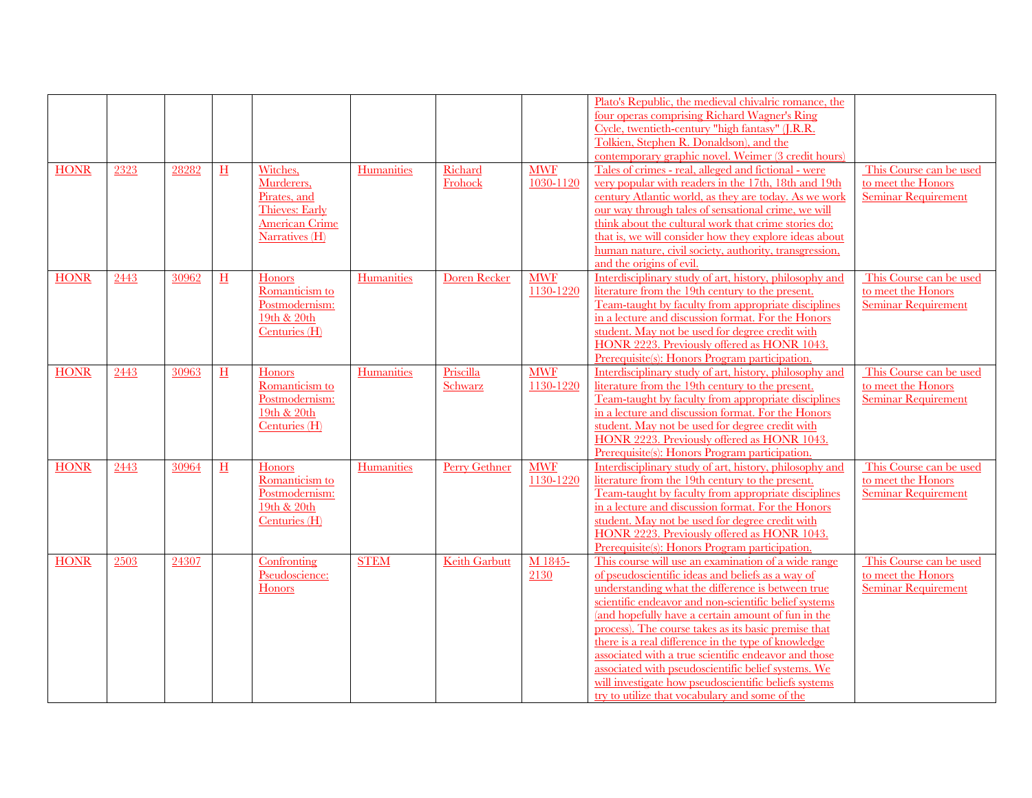| <b>HONR</b> | 2323 | 28282 | H         | Witches,<br>Murderers,                                                            | Humanities        | Richard<br>Frohock   | <b>MWF</b><br>1030-1120 | Plato's Republic, the medieval chivalric romance, the<br>four operas comprising Richard Wagner's Ring<br>Cycle, twentieth-century "high fantasy" (J.R.R.<br>Tolkien, Stephen R. Donaldson), and the<br>contemporary graphic novel. Weimer (3 credit hours)<br>Tales of crimes - real, alleged and fictional - were<br>very popular with readers in the 17th, 18th and 19th                                                                                                                                                                                                                                            | This Course can be used<br>to meet the Honors                               |
|-------------|------|-------|-----------|-----------------------------------------------------------------------------------|-------------------|----------------------|-------------------------|-----------------------------------------------------------------------------------------------------------------------------------------------------------------------------------------------------------------------------------------------------------------------------------------------------------------------------------------------------------------------------------------------------------------------------------------------------------------------------------------------------------------------------------------------------------------------------------------------------------------------|-----------------------------------------------------------------------------|
|             |      |       |           | Pirates, and<br><b>Thieves: Early</b><br><b>American Crime</b><br>Narratives (H)  |                   |                      |                         | century Atlantic world, as they are today. As we work<br>our way through tales of sensational crime, we will<br>think about the cultural work that crime stories do:<br>that is, we will consider how they explore ideas about<br>human nature, civil society, authority, transgression,<br>and the origins of evil.                                                                                                                                                                                                                                                                                                  | <b>Seminar Requirement</b>                                                  |
| <b>HONR</b> | 2443 | 30962 | H         | <b>Honors</b><br>Romanticism to<br>Postmodernism:<br>19th & 20th<br>Centuries (H) | <b>Humanities</b> | <b>Doren Recker</b>  | <b>MWF</b><br>1130-1220 | Interdisciplinary study of art, history, philosophy and<br>literature from the 19th century to the present.<br>Team-taught by faculty from appropriate disciplines<br>in a lecture and discussion format. For the Honors<br>student. May not be used for degree credit with<br>HONR 2223. Previously offered as HONR 1043.<br>Prerequisite(s): Honors Program participation                                                                                                                                                                                                                                           | This Course can be used<br>to meet the Honors<br>Seminar Requirement        |
| <b>HONR</b> | 2443 | 30963 | $H_{\rm}$ | Honors<br>Romanticism to<br>Postmodernism:<br>19th & 20th<br>Centuries (H)        | Humanities        | Priscilla<br>Schwarz | <b>MWF</b><br>1130-1220 | Interdisciplinary study of art, history, philosophy and<br>literature from the 19th century to the present.<br>Team-taught by faculty from appropriate disciplines<br>in a lecture and discussion format. For the Honors<br>student. May not be used for degree credit with<br>HONR 2223. Previously offered as HONR 1043.<br>Prerequisite(s): Honors Program participation.                                                                                                                                                                                                                                          | This Course can be used<br>to meet the Honors<br><b>Seminar Requirement</b> |
| <b>HONR</b> | 2443 | 30964 | H         | Honors<br>Romanticism to<br>Postmodernism:<br>19th & 20th<br>Centuries (H)        | Humanities        | Perry Gethner        | <b>MWF</b><br>1130-1220 | Interdisciplinary study of art, history, philosophy and<br>literature from the 19th century to the present.<br>Team-taught by faculty from appropriate disciplines<br>in a lecture and discussion format. For the Honors<br>student. May not be used for degree credit with<br>HONR 2223. Previously offered as HONR 1043.<br>Prerequisite(s): Honors Program participation.                                                                                                                                                                                                                                          | This Course can be used<br>to meet the Honors<br><b>Seminar Requirement</b> |
| <b>HONR</b> | 2503 | 24307 |           | Confronting<br>Pseudoscience:<br>Honors                                           | <b>STEM</b>       | <b>Keith Garbutt</b> | M 1845-<br>2130         | This course will use an examination of a wide range<br>of pseudoscientific ideas and beliefs as a way of<br>understanding what the difference is between true<br>scientific endeavor and non-scientific belief systems<br>(and hopefully have a certain amount of fun in the<br>process). The course takes as its basic premise that<br>there is a real difference in the type of knowledge<br>associated with a true scientific endeavor and those<br>associated with pseudoscientific belief systems. We<br>will investigate how pseudoscientific beliefs systems<br>try to utilize that vocabulary and some of the | This Course can be used<br>to meet the Honors<br><b>Seminar Requirement</b> |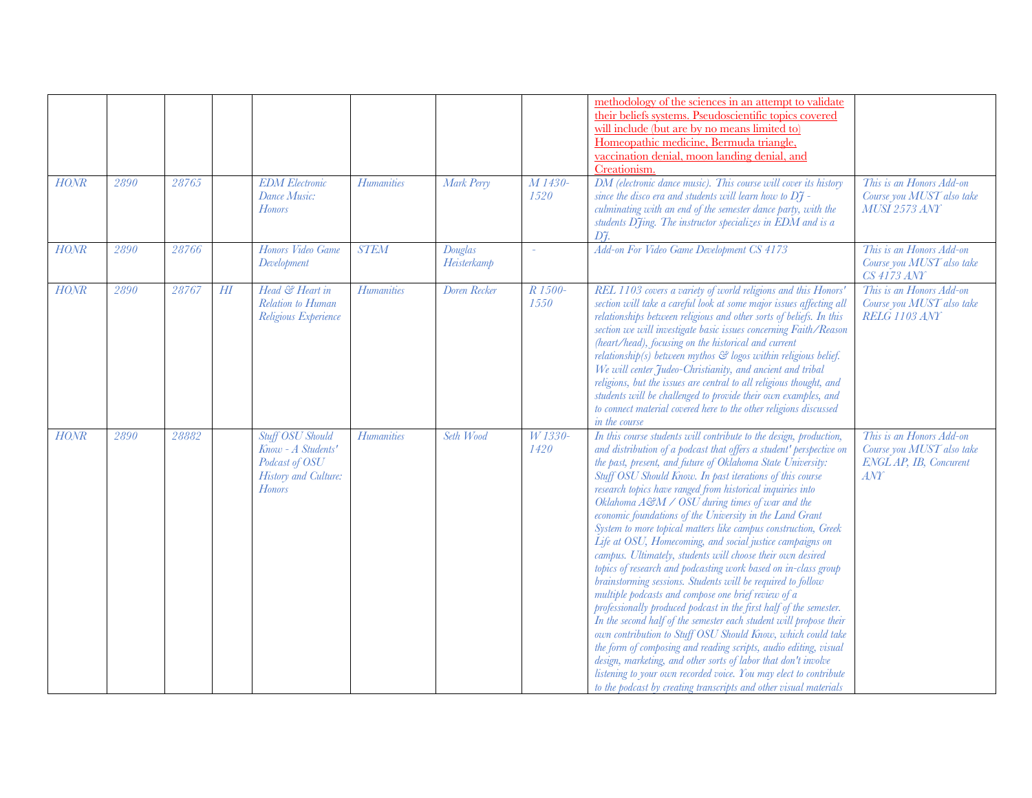| HONR<br>HONR | 2890<br>2890 | 28765<br>28766 |        | <b>EDM</b> Electronic<br>Dance Music:<br><b>Honors</b><br>Honors Video Game                              | <b>Humanities</b><br><b>STEM</b> | Mark Perry<br>Douglas | M 1430-<br>1520<br>$\omega$ | methodology of the sciences in an attempt to validate<br>their beliefs systems. Pseudoscientific topics covered<br>will include (but are by no means limited to)<br>Homeopathic medicine, Bermuda triangle,<br>vaccination denial, moon landing denial, and<br>Creationism<br>DM (electronic dance music). This course will cover its history<br>since the disco era and students will learn how to $D\tilde{\tau}$ -<br>culminating with an end of the semester dance party, with the<br>students DJing. The instructor specializes in EDM and is a<br>D7.<br>Add-on For Video Game Development CS 4173                                                                                                                                                                                                                                                                                                                                                                                                                                                                                                                                                                                                                                                                                                                        | This is an Honors Add-on<br>Course you MUST also take<br><b>MUSI 2573 ANY</b><br>This is an Honors Add-on |
|--------------|--------------|----------------|--------|----------------------------------------------------------------------------------------------------------|----------------------------------|-----------------------|-----------------------------|---------------------------------------------------------------------------------------------------------------------------------------------------------------------------------------------------------------------------------------------------------------------------------------------------------------------------------------------------------------------------------------------------------------------------------------------------------------------------------------------------------------------------------------------------------------------------------------------------------------------------------------------------------------------------------------------------------------------------------------------------------------------------------------------------------------------------------------------------------------------------------------------------------------------------------------------------------------------------------------------------------------------------------------------------------------------------------------------------------------------------------------------------------------------------------------------------------------------------------------------------------------------------------------------------------------------------------|-----------------------------------------------------------------------------------------------------------|
|              |              |                |        | Development                                                                                              |                                  | Heisterkamp           |                             |                                                                                                                                                                                                                                                                                                                                                                                                                                                                                                                                                                                                                                                                                                                                                                                                                                                                                                                                                                                                                                                                                                                                                                                                                                                                                                                                 | Course you MUST also take<br><b>CS 4173 ANY</b>                                                           |
| HONR         | 2890         | 28767          | $H\!I$ | Head & Heart in<br>Relation to Human<br>Religious Experience                                             | <b>Humanities</b>                | Doren Recker          | R 1500-<br>1550             | REL 1103 covers a variety of world religions and this Honors'<br>section will take a careful look at some major issues affecting all<br>relationships between religious and other sorts of beliefs. In this<br>section we will investigate basic issues concerning Faith/Reason<br>(heart/head), focusing on the historical and current<br>relationship(s) between mythos $\mathfrak{S}$ logos within religious belief.<br>We will center Judeo-Christianity, and ancient and tribal<br>religions, but the issues are central to all religious thought, and<br>students will be challenged to provide their own examples, and<br>to connect material covered here to the other religions discussed<br>in the course                                                                                                                                                                                                                                                                                                                                                                                                                                                                                                                                                                                                             | This is an Honors Add-on<br>Course you MUST also take<br>RELG 1103 ANY                                    |
| <b>HONR</b>  | 2890         | 28882          |        | <b>Stuff OSU Should</b><br>Know - A Students'<br>Podcast of OSU<br>History and Culture:<br><b>Honors</b> | <b>Humanities</b>                | Seth Wood             | W 1330-<br>1420             | In this course students will contribute to the design, production,<br>and distribution of a podcast that offers a student' perspective on<br>the past, present, and future of Oklahoma State University:<br>Stuff OSU Should Know. In past iterations of this course<br>research topics have ranged from historical inquiries into<br>Oklahoma A&M / OSU during times of war and the<br>economic foundations of the University in the Land Grant<br>System to more topical matters like campus construction, Greek<br>Life at OSU, Homecoming, and social justice campaigns on<br>campus. Ultimately, students will choose their own desired<br>topics of research and podcasting work based on in-class group<br>brainstorming sessions. Students will be required to follow<br>multiple podcasts and compose one brief review of a<br>professionally produced podcast in the first half of the semester.<br>In the second half of the semester each student will propose their<br>own contribution to Stuff OSU Should Know, which could take<br>the form of composing and reading scripts, audio editing, visual<br>design, marketing, and other sorts of labor that don't involve<br>listening to your own recorded voice. You may elect to contribute<br>to the podcast by creating transcripts and other visual materials | This is an Honors Add-on<br>Course you MUST also take<br>ENGL AP, IB, Concurent<br>ANT                    |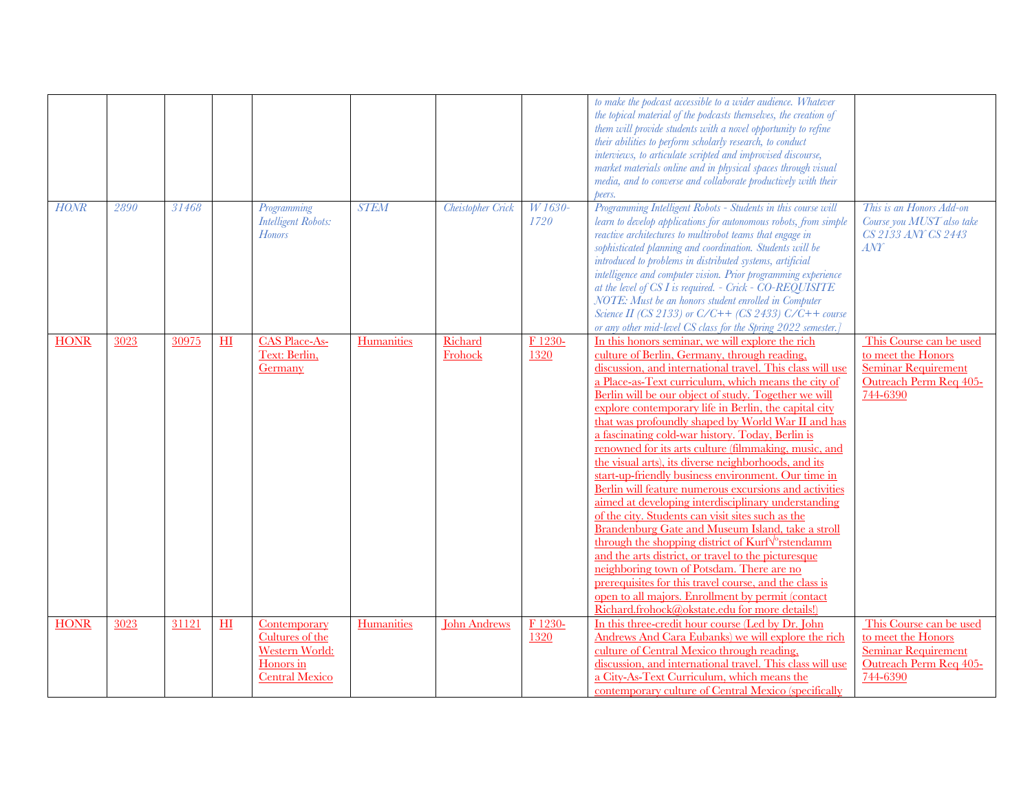|             |      |       |    |                                                                                                |             |                     |                 | to make the podcast accessible to a wider audience. Whatever<br>the topical material of the podcasts themselves, the creation of<br>them will provide students with a novel opportunity to refine<br>their abilities to perform scholarly research, to conduct<br>interviews, to articulate scripted and improvised discourse,<br>market materials online and in physical spaces through visual<br>media, and to converse and collaborate productively with their<br>peers.                                                                                                                                                                                                                                                                                                                                                                                                                                                                                                                                                                                                                                                                                                                                         |                                                                                                                   |
|-------------|------|-------|----|------------------------------------------------------------------------------------------------|-------------|---------------------|-----------------|---------------------------------------------------------------------------------------------------------------------------------------------------------------------------------------------------------------------------------------------------------------------------------------------------------------------------------------------------------------------------------------------------------------------------------------------------------------------------------------------------------------------------------------------------------------------------------------------------------------------------------------------------------------------------------------------------------------------------------------------------------------------------------------------------------------------------------------------------------------------------------------------------------------------------------------------------------------------------------------------------------------------------------------------------------------------------------------------------------------------------------------------------------------------------------------------------------------------|-------------------------------------------------------------------------------------------------------------------|
| HONR        | 2890 | 31468 |    | Programming<br><b>Intelligent Robots:</b><br><b>Honors</b>                                     | <b>STEM</b> | Cheistopher Crick   | W 1630-<br>1720 | Programming Intelligent Robots - Students in this course will<br>learn to develop applications for autonomous robots, from simple<br>reactive architectures to multirobot teams that engage in<br>sophisticated planning and coordination. Students will be<br>introduced to problems in distributed systems, artificial<br>intelligence and computer vision. Prior programming experience<br>at the level of CS I is required. - Crick - CO-REQUISITE<br>NOTE: Must be an honors student enrolled in Computer<br>Science II (CS 2133) or $C/C$ ++ (CS 2433) $C/C$ ++ course<br>or any other mid-level CS class for the Spring 2022 semester.]                                                                                                                                                                                                                                                                                                                                                                                                                                                                                                                                                                      | This is an Honors Add-on<br>Course you MUST also take<br>CS 2133 ANY CS 2443<br>ANT                               |
| <b>HONR</b> | 3023 | 30975 | H1 | <b>CAS Place-As-</b><br>Text: Berlin,<br>Germany                                               | Humanities  | Richard<br>Frohock  | F 1230-<br>1320 | In this honors seminar, we will explore the rich<br>culture of Berlin, Germany, through reading,<br>discussion, and international travel. This class will use<br>a Place-as-Text curriculum, which means the city of<br>Berlin will be our object of study. Together we will<br>explore contemporary life in Berlin, the capital city<br>that was profoundly shaped by World War II and has<br>a fascinating cold-war history. Today, Berlin is<br>renowned for its arts culture (filmmaking, music, and<br>the visual arts), its diverse neighborhoods, and its<br>start-up-friendly business environment. Our time in<br>Berlin will feature numerous excursions and activities<br>aimed at developing interdisciplinary understanding<br>of the city. Students can visit sites such as the<br><b>Brandenburg Gate and Museum Island, take a stroll</b><br>through the shopping district of Kurf <sup><math>\sqrt{\ }</math></sup> rstendamm<br>and the arts district, or travel to the picturesque<br>neighboring town of Potsdam. There are no<br>prerequisites for this travel course, and the class is<br>open to all majors. Enrollment by permit (contact<br>Richard.frohock@okstate.edu for more details!) | This Course can be used<br>to meet the Honors<br><b>Seminar Requirement</b><br>Outreach Perm Req 405-<br>744-6390 |
| <b>HONR</b> | 3023 | 31121 | H1 | Contemporary<br>Cultures of the<br><b>Western World:</b><br>Honors in<br><b>Central Mexico</b> | Humanities  | <b>John Andrews</b> | F 1230-<br>1320 | In this three-credit hour course (Led by Dr. John<br>Andrews And Cara Eubanks) we will explore the rich<br>culture of Central Mexico through reading,<br>discussion, and international travel. This class will use<br>a City-As-Text Curriculum, which means the<br>contemporary culture of Central Mexico (specifically                                                                                                                                                                                                                                                                                                                                                                                                                                                                                                                                                                                                                                                                                                                                                                                                                                                                                            | This Course can be used<br>to meet the Honors<br><b>Seminar Requirement</b><br>Outreach Perm Req 405-<br>744-6390 |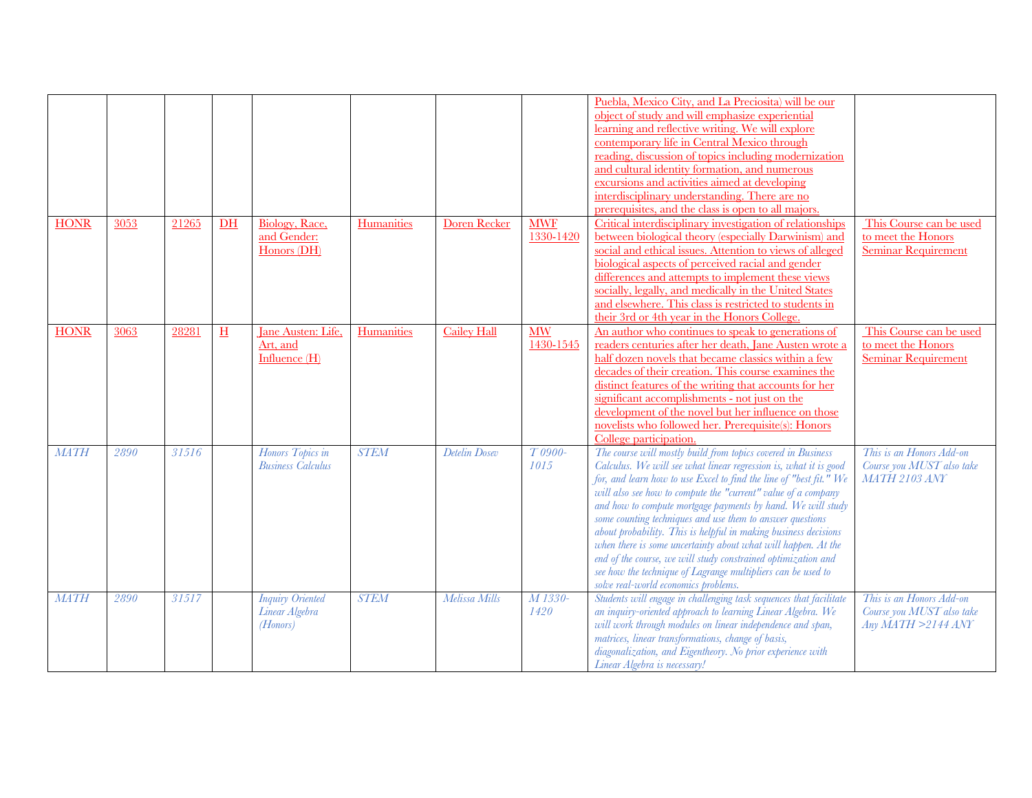|             |      |       |            |                                                       |             |                    |                         | Puebla, Mexico City, and La Preciosita) will be our<br>object of study and will emphasize experiential<br>learning and reflective writing. We will explore<br>contemporary life in Central Mexico through<br>reading, discussion of topics including modernization<br>and cultural identity formation, and numerous<br>excursions and activities aimed at developing<br>interdisciplinary understanding. There are no<br>prerequisites, and the class is open to all majors.                                                                                                                                                                                                                                     |                                                                               |
|-------------|------|-------|------------|-------------------------------------------------------|-------------|--------------------|-------------------------|------------------------------------------------------------------------------------------------------------------------------------------------------------------------------------------------------------------------------------------------------------------------------------------------------------------------------------------------------------------------------------------------------------------------------------------------------------------------------------------------------------------------------------------------------------------------------------------------------------------------------------------------------------------------------------------------------------------|-------------------------------------------------------------------------------|
| <b>HONR</b> | 3053 | 21265 | $DH$       | Biology, Race,<br>and Gender:<br>Honors (DH)          | Humanities  | Doren Recker       | <b>MWF</b><br>1330-1420 | Critical interdisciplinary investigation of relationships<br>between biological theory (especially Darwinism) and<br>social and ethical issues. Attention to views of alleged<br>biological aspects of perceived racial and gender<br>differences and attempts to implement these views<br>socially, legally, and medically in the United States<br>and elsewhere. This class is restricted to students in<br>their 3rd or 4th year in the Honors College.                                                                                                                                                                                                                                                       | This Course can be used<br>to meet the Honors<br><b>Seminar Requirement</b>   |
| <b>HONR</b> | 3063 | 28281 | $_{\rm H}$ | Jane Austen: Life.<br>Art, and<br>Influence (H)       | Humanities  | <b>Cailey Hall</b> | <b>MW</b><br>1430-1545  | An author who continues to speak to generations of<br>readers centuries after her death, Jane Austen wrote a<br>half dozen novels that became classics within a few<br>decades of their creation. This course examines the<br>distinct features of the writing that accounts for her<br>significant accomplishments - not just on the<br>development of the novel but her influence on those<br>novelists who followed her. Prerequisite(s): Honors<br>College participation.                                                                                                                                                                                                                                    | This Course can be used<br>to meet the Honors<br><b>Seminar Requirement</b>   |
| <b>MATH</b> | 2890 | 31516 |            | Honors Topics in<br><b>Business Calculus</b>          | <b>STEM</b> | Detelin Dosev      | $T0900-$<br>1015        | The course will mostly build from topics covered in Business<br>Calculus. We will see what linear regression is, what it is good<br>for, and learn how to use Excel to find the line of "best fit." We<br>will also see how to compute the "current" value of a company<br>and how to compute mortgage payments by hand. We will study<br>some counting techniques and use them to answer questions<br>about probability. This is helpful in making business decisions<br>when there is some uncertainty about what will happen. At the<br>end of the course, we will study constrained optimization and<br>see how the technique of Lagrange multipliers can be used to<br>solve real-world economics problems. | This is an Honors Add-on<br>Course you MUST also take<br><b>MATH 2103 ANY</b> |
| <b>MATH</b> | 2890 | 31517 |            | <b>Inquiry Oriented</b><br>Linear Algebra<br>(Honors) | <b>STEM</b> | Melissa Mills      | M 1330-<br>1420         | Students will engage in challenging task sequences that facilitate<br>an inquiry-oriented approach to learning Linear Algebra. We<br>will work through modules on linear independence and span,<br>matrices, linear transformations, change of basis,<br>diagonalization, and Eigentheory. No prior experience with<br>Linear Algebra is necessary!                                                                                                                                                                                                                                                                                                                                                              | This is an Honors Add-on<br>Course you MUST also take<br>Any MATH >2144 ANY   |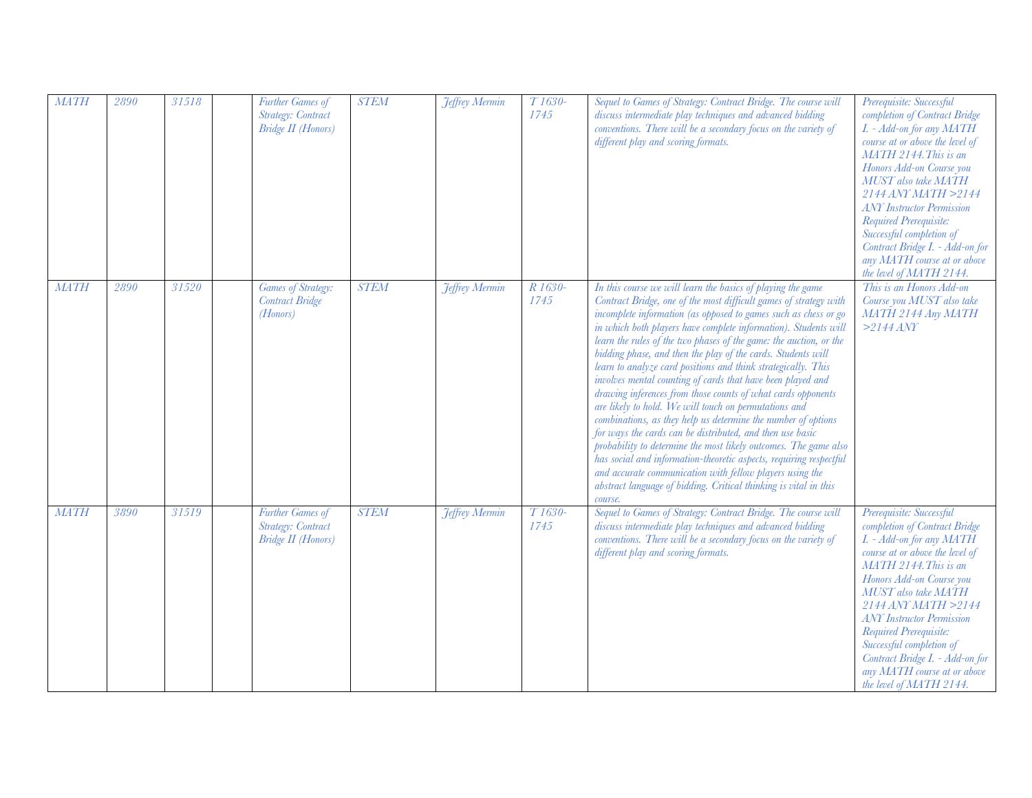| <b>MATH</b> | 2890 | 31518 | Further Games of<br>Strategy: Contract<br><b>Bridge II</b> (Honors) | <b>STEM</b> | <b>Jeffrey Mermin</b> | T <sub>1630</sub> -<br>1745 | Sequel to Games of Strategy: Contract Bridge. The course will<br>discuss intermediate play techniques and advanced bidding<br>conventions. There will be a secondary focus on the variety of<br>different play and scoring formats.                                                                                                                                                                                                                                                                                                                                                                                                                                                                                                                                                                                                                                                                                                                                                                                                                                                      | Prerequisite: Successful<br>completion of Contract Bridge<br>I. - Add-on for any MATH<br>course at or above the level of<br>MATH 2144. This is an<br>Honors Add-on Course you<br>MUST also take MATH<br>$2144$ ANY MATH $>2144$<br><b>ANY</b> Instructor Permission<br>Required Prerequisite:<br>Successful completion of<br>Contract Bridge I. - Add-on for<br>any MATH course at or above<br>the level of MATH 2144. |
|-------------|------|-------|---------------------------------------------------------------------|-------------|-----------------------|-----------------------------|------------------------------------------------------------------------------------------------------------------------------------------------------------------------------------------------------------------------------------------------------------------------------------------------------------------------------------------------------------------------------------------------------------------------------------------------------------------------------------------------------------------------------------------------------------------------------------------------------------------------------------------------------------------------------------------------------------------------------------------------------------------------------------------------------------------------------------------------------------------------------------------------------------------------------------------------------------------------------------------------------------------------------------------------------------------------------------------|------------------------------------------------------------------------------------------------------------------------------------------------------------------------------------------------------------------------------------------------------------------------------------------------------------------------------------------------------------------------------------------------------------------------|
| <b>MATH</b> | 2890 | 31520 | Games of Strategy:<br><b>Contract Bridge</b><br>(Honors)            | <b>STEM</b> | <b>Jeffrey Mermin</b> | R 1630-<br>1745             | In this course we will learn the basics of playing the game<br>Contract Bridge, one of the most difficult games of strategy with<br>incomplete information (as opposed to games such as chess or go<br>in which both players have complete information). Students will<br>learn the rules of the two phases of the game: the auction, or the<br>bidding phase, and then the play of the cards. Students will<br>learn to analyze card positions and think strategically. This<br>involves mental counting of cards that have been played and<br>drawing inferences from those counts of what cards opponents<br>are likely to hold. We will touch on permutations and<br>combinations, as they help us determine the number of options<br>for ways the cards can be distributed, and then use basic<br>probability to determine the most likely outcomes. The game also<br>has social and information-theoretic aspects, requiring respectful<br>and accurate communication with fellow players using the<br>abstract language of bidding. Critical thinking is vital in this<br>course. | This is an Honors Add-on<br>Course you MUST also take<br>MATH 2144 Any MATH<br>$>2144$ ANY                                                                                                                                                                                                                                                                                                                             |
| <b>MATH</b> | 3890 | 31519 | Further Games of<br>Strategy: Contract<br><b>Bridge II</b> (Honors) | <b>STEM</b> | <b>Jeffrey Mermin</b> | T <sub>1630</sub> -<br>1745 | Sequel to Games of Strategy: Contract Bridge. The course will<br>discuss intermediate play techniques and advanced bidding<br>conventions. There will be a secondary focus on the variety of<br>different play and scoring formats.                                                                                                                                                                                                                                                                                                                                                                                                                                                                                                                                                                                                                                                                                                                                                                                                                                                      | Prerequisite: Successful<br>completion of Contract Bridge<br>I. - Add-on for any MATH<br>course at or above the level of<br>MATH 2144. This is an<br>Honors Add-on Course you<br>MUST also take MATH<br>2144 ANY MATH >2144<br><b>ANY</b> Instructor Permission<br>Required Prerequisite:<br>Successful completion of<br>Contract Bridge I. - Add-on for<br>any MATH course at or above<br>the level of MATH 2144.     |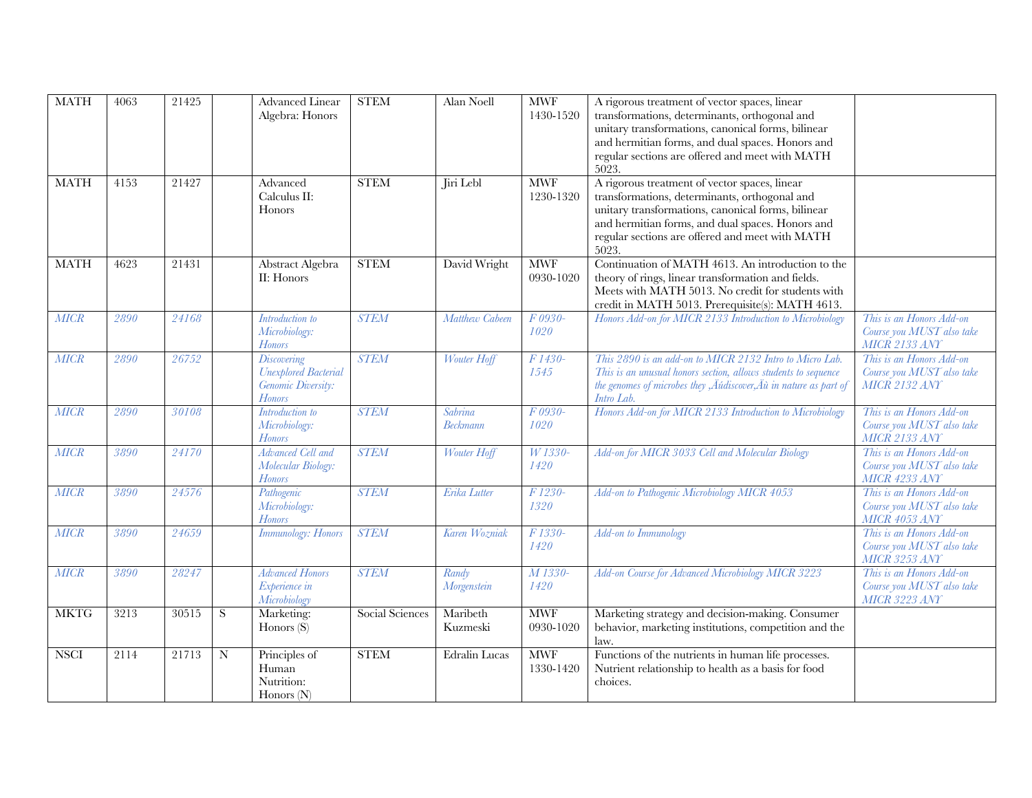| <b>MATH</b> | 4063 | 21425 |   | Advanced Linear<br>Algebra: Honors                                         | <b>STEM</b>     | Alan Noell           | <b>MWF</b><br>1430-1520     | A rigorous treatment of vector spaces, linear<br>transformations, determinants, orthogonal and<br>unitary transformations, canonical forms, bilinear<br>and hermitian forms, and dual spaces. Honors and<br>regular sections are offered and meet with MATH<br>5023. |                                                                               |
|-------------|------|-------|---|----------------------------------------------------------------------------|-----------------|----------------------|-----------------------------|----------------------------------------------------------------------------------------------------------------------------------------------------------------------------------------------------------------------------------------------------------------------|-------------------------------------------------------------------------------|
| <b>MATH</b> | 4153 | 21427 |   | Advanced<br>Calculus II:<br>Honors                                         | <b>STEM</b>     | Jiri Lebl            | <b>MWF</b><br>1230-1320     | A rigorous treatment of vector spaces, linear<br>transformations, determinants, orthogonal and<br>unitary transformations, canonical forms, bilinear<br>and hermitian forms, and dual spaces. Honors and<br>regular sections are offered and meet with MATH<br>5023. |                                                                               |
| <b>MATH</b> | 4623 | 21431 |   | Abstract Algebra<br>II: Honors                                             | <b>STEM</b>     | David Wright         | <b>MWF</b><br>0930-1020     | Continuation of MATH 4613. An introduction to the<br>theory of rings, linear transformation and fields.<br>Meets with MATH 5013. No credit for students with<br>credit in MATH 5013. Prerequisite(s): MATH 4613.                                                     |                                                                               |
| MICR        | 2890 | 24168 |   | Introduction to<br>Microbiology:<br><b>Honors</b>                          | <b>STEM</b>     | Matthew Cabeen       | F 0930-<br>1020             | Honors Add-on for MICR 2133 Introduction to Microbiology                                                                                                                                                                                                             | This is an Honors Add-on<br>Course you MUST also take<br><b>MICR 2133 ANY</b> |
| MICR        | 2890 | 26752 |   | Discovering<br><b>Unexplored Bacterial</b><br>Genomic Diversity:<br>Honors | <b>STEM</b>     | Wouter Hoff          | F1430-<br>1545              | This 2890 is an add-on to MICR 2132 Intro to Micro Lab.<br>This is an unusual honors section, allows students to sequence<br>the genomes of microbes they , Äúdiscover, Äù in nature as part of<br>Intro Lab.                                                        | This is an Honors Add-on<br>Course you MUST also take<br><b>MICR 2132 ANY</b> |
| <b>MICR</b> | 2890 | 30108 |   | Introduction to<br>Microbiology:<br>Honors                                 | <b>STEM</b>     | Sabrina<br>Beckmann  | F 0930-<br>1020             | Honors Add-on for MICR 2133 Introduction to Microbiology                                                                                                                                                                                                             | This is an Honors Add-on<br>Course you MUST also take<br>MICR 2133 ANY        |
| MICR        | 3890 | 24170 |   | Advanced Cell and<br>Molecular Biology:<br><b>Honors</b>                   | <b>STEM</b>     | Wouter Hoff          | W 1330-<br>1420             | Add-on for MICR 3033 Cell and Molecular Biology                                                                                                                                                                                                                      | This is an Honors Add-on<br>Course you MUST also take<br>MICR 4233 ANY        |
| MICR        | 3890 | 24576 |   | Pathogenic<br>Microbiology:<br><b>Honors</b>                               | <b>STEM</b>     | Erika Lutter         | F <sub>1230</sub> -<br>1320 | Add-on to Pathogenic Microbiology MICR 4053                                                                                                                                                                                                                          | This is an Honors Add-on<br>Course you MUST also take<br>MICR 4053 ANY        |
| MICR        | 3890 | 24659 |   | <b>Immunology: Honors</b>                                                  | <b>STEM</b>     | Karen Wozniak        | F 1330-<br>1420             | Add-on to Immunology                                                                                                                                                                                                                                                 | This is an Honors Add-on<br>Course you MUST also take<br>MICR 3253 ANY        |
| MICR        | 3890 | 28247 |   | <b>Advanced Honors</b><br>Experience in<br>Microbiology                    | <b>STEM</b>     | Randy<br>Morgenstein | M 1330-<br>1420             | Add-on Course for Advanced Microbiology MICR 3223                                                                                                                                                                                                                    | This is an Honors Add-on<br>Course you MUST also take<br>MICR 3223 ANY        |
| <b>MKTG</b> | 3213 | 30515 | S | Marketing:<br>Honors (S)                                                   | Social Sciences | Maribeth<br>Kuzmeski | <b>MWF</b><br>0930-1020     | Marketing strategy and decision-making. Consumer<br>behavior, marketing institutions, competition and the<br>law.                                                                                                                                                    |                                                                               |
| <b>NSCI</b> | 2114 | 21713 | N | Principles of<br>Human<br>Nutrition:<br>Honors $(N)$                       | <b>STEM</b>     | <b>Edralin Lucas</b> | <b>MWF</b><br>1330-1420     | Functions of the nutrients in human life processes.<br>Nutrient relationship to health as a basis for food<br>choices.                                                                                                                                               |                                                                               |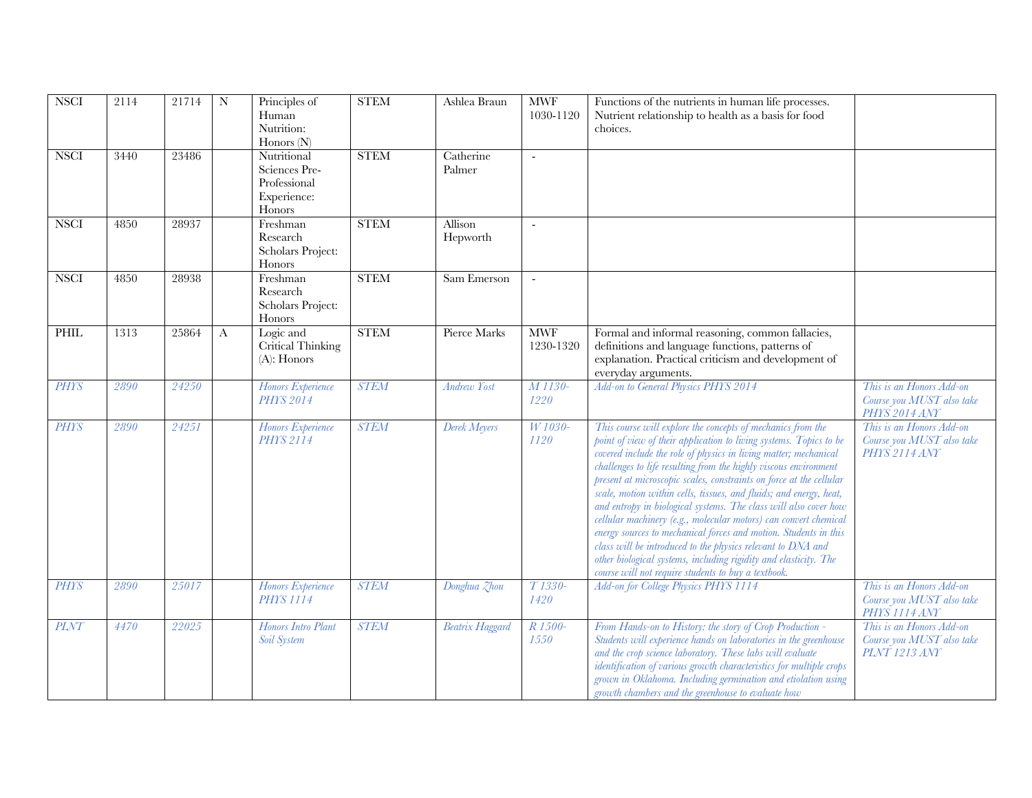| <b>NSCI</b> | 2114 | 21714 | ${\bf N}$ | Principles of<br>Human<br>Nutrition:<br>Honors $(N)$                  | <b>STEM</b> | Ashlea Braun           | <b>MWF</b><br>1030-1120 | Functions of the nutrients in human life processes.<br>Nutrient relationship to health as a basis for food<br>choices.                                                                                                                                                                                                                                                                                                                                                                                                                                                                                                                                                                                                                                                                                                       |                                                                                   |
|-------------|------|-------|-----------|-----------------------------------------------------------------------|-------------|------------------------|-------------------------|------------------------------------------------------------------------------------------------------------------------------------------------------------------------------------------------------------------------------------------------------------------------------------------------------------------------------------------------------------------------------------------------------------------------------------------------------------------------------------------------------------------------------------------------------------------------------------------------------------------------------------------------------------------------------------------------------------------------------------------------------------------------------------------------------------------------------|-----------------------------------------------------------------------------------|
| <b>NSCI</b> | 3440 | 23486 |           | Nutritional<br>Sciences Pre-<br>Professional<br>Experience:<br>Honors | <b>STEM</b> | Catherine<br>Palmer    | $\mathbb{Z}^2$          |                                                                                                                                                                                                                                                                                                                                                                                                                                                                                                                                                                                                                                                                                                                                                                                                                              |                                                                                   |
| <b>NSCI</b> | 4850 | 28937 |           | Freshman<br>Research<br>Scholars Project:<br>Honors                   | <b>STEM</b> | Allison<br>Hepworth    | $\blacksquare$          |                                                                                                                                                                                                                                                                                                                                                                                                                                                                                                                                                                                                                                                                                                                                                                                                                              |                                                                                   |
| <b>NSCI</b> | 4850 | 28938 |           | Freshman<br>Research<br>Scholars Project:<br>Honors                   | <b>STEM</b> | Sam Emerson            | $\mathbf{u}$            |                                                                                                                                                                                                                                                                                                                                                                                                                                                                                                                                                                                                                                                                                                                                                                                                                              |                                                                                   |
| PHIL        | 1313 | 25864 | $\bf{A}$  | Logic and<br>Critical Thinking<br>$(A)$ : Honors                      | <b>STEM</b> | Pierce Marks           | <b>MWF</b><br>1230-1320 | Formal and informal reasoning, common fallacies,<br>definitions and language functions, patterns of<br>explanation. Practical criticism and development of<br>everyday arguments.                                                                                                                                                                                                                                                                                                                                                                                                                                                                                                                                                                                                                                            |                                                                                   |
| <b>PHYS</b> | 2890 | 24250 |           | Honors Experience<br><b>PHYS 2014</b>                                 | <b>STEM</b> | <b>Andrew Yost</b>     | M 1130-<br>1220         | Add-on to General Physics PHYS 2014                                                                                                                                                                                                                                                                                                                                                                                                                                                                                                                                                                                                                                                                                                                                                                                          | This is an Honors Add-on<br>Course you MUST also take<br>PHYS <sub>2014</sub> ANY |
| <b>PHYS</b> | 2890 | 24251 |           | Honors Experience<br><b>PHYS 2114</b>                                 | <b>STEM</b> | Derek Meyers           | W 1030-<br>1120         | This course will explore the concepts of mechanics from the<br>point of view of their application to living systems. Topics to be<br>covered include the role of physics in living matter; mechanical<br>challenges to life resulting from the highly viscous environment<br>present at microscopic scales, constraints on force at the cellular<br>scale, motion within cells, tissues, and fluids; and energy, heat,<br>and entropy in biological systems. The class will also cover how<br>cellular machinery (e.g., molecular motors) can convert chemical<br>energy sources to mechanical forces and motion. Students in this<br>class will be introduced to the physics relevant to DNA and<br>other biological systems, including rigidity and elasticity. The<br>course will not require students to buy a textbook. | This is an Honors Add-on<br>Course you MUST also take<br>PHYS <sub>2114</sub> ANY |
| <b>PHYS</b> | 2890 | 25017 |           | Honors Experience<br><b>PHYS 1114</b>                                 | <b>STEM</b> | Donghua Zhou           | T 1330-<br>1420         | Add-on for College Physics PHYS 1114                                                                                                                                                                                                                                                                                                                                                                                                                                                                                                                                                                                                                                                                                                                                                                                         | This is an Honors Add-on<br>Course you MUST also take<br>PHYS <sub>1114</sub> ANY |
| <b>PLNT</b> | 4470 | 22025 |           | Honors Intro Plant<br>Soil System                                     | <b>STEM</b> | <b>Beatrix Haggard</b> | R 1500-<br>1550         | From Hands-on to History: the story of Crop Production -<br>Students will experience hands on laboratories in the greenhouse<br>and the crop science laboratory. These labs will evaluate<br>identification of various growth characteristics for multiple crops<br>grown in Oklahoma. Including germination and etiolation using<br>growth chambers and the greenhouse to evaluate how                                                                                                                                                                                                                                                                                                                                                                                                                                      | This is an Honors Add-on<br>Course you MUST also take<br><b>PLNT</b> 1213 ANY     |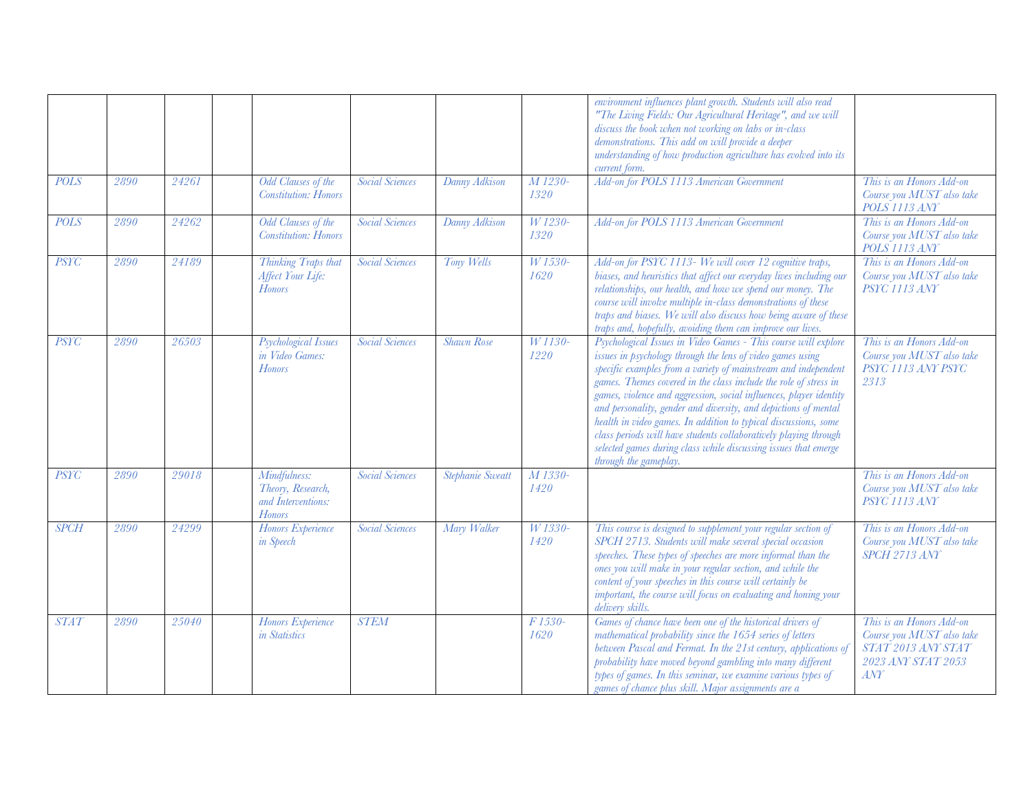|             |      |       |                                                                   |                        |                   |                             | environment influences plant growth. Students will also read<br>"The Living Fields: Our Agricultural Heritage", and we will<br>discuss the book when not working on labs or in-class<br>demonstrations. This add on will provide a deeper<br>understanding of how production agriculture has evolved into its<br>current form.                                                                                                                                                                                                                                                                                                                 |                                                                                                          |
|-------------|------|-------|-------------------------------------------------------------------|------------------------|-------------------|-----------------------------|------------------------------------------------------------------------------------------------------------------------------------------------------------------------------------------------------------------------------------------------------------------------------------------------------------------------------------------------------------------------------------------------------------------------------------------------------------------------------------------------------------------------------------------------------------------------------------------------------------------------------------------------|----------------------------------------------------------------------------------------------------------|
| <b>POLS</b> | 2890 | 24261 | Odd Clauses of the<br><b>Constitution: Honors</b>                 | <b>Social Sciences</b> | Danny Adkison     | M 1230-<br>1320             | Add-on for POLS 1113 American Government                                                                                                                                                                                                                                                                                                                                                                                                                                                                                                                                                                                                       | This is an Honors Add-on<br>Course you MUST also take<br>POLS 1113 ANY                                   |
| <b>POLS</b> | 2890 | 24262 | Odd Clauses of the<br><b>Constitution: Honors</b>                 | <b>Social Sciences</b> | Danny Adkison     | W 1230-<br>1320             | Add-on for POLS 1113 American Government                                                                                                                                                                                                                                                                                                                                                                                                                                                                                                                                                                                                       | This is an Honors Add-on<br>Course you MUST also take<br>POLS 1113 ANY                                   |
| <b>PSYC</b> | 2890 | 24189 | Thinking Traps that<br>Affect Your Life:<br><b>Honors</b>         | <b>Social Sciences</b> | Tony Wells        | W 1530-<br>1620             | Add-on for PSYC 1113- We will cover 12 cognitive traps,<br>biases, and heuristics that affect our everyday lives including our<br>relationships, our health, and how we spend our money. The<br>course will involve multiple in-class demonstrations of these<br>traps and biases. We will also discuss how being aware of these<br>traps and, hopefully, avoiding them can improve our lives.                                                                                                                                                                                                                                                 | This is an Honors Add-on<br>Course you MUST also take<br>PSYC 1113 ANY                                   |
| <b>PSYC</b> | 2890 | 26503 | <b>Psychological Issues</b><br>in Video Games:<br><b>Honors</b>   | <b>Social Sciences</b> | <b>Shawn Rose</b> | W 1130-<br>1220             | Psychological Issues in Video Games - This course will explore<br>issues in psychology through the lens of video games using<br>specific examples from a variety of mainstream and independent<br>games. Themes covered in the class include the role of stress in<br>games, violence and aggression, social influences, player identity<br>and personality, gender and diversity, and depictions of mental<br>health in video games. In addition to typical discussions, some<br>class periods will have students collaboratively playing through<br>selected games during class while discussing issues that emerge<br>through the gameplay. | This is an Honors Add-on<br>Course you MUST also take<br>PSYC 1113 ANY PSYC<br>2313                      |
| <b>PSYC</b> | 2890 | 29018 | Mindfulness:<br>Theory, Research,<br>and Interventions:<br>Honors | <b>Social Sciences</b> | Stephanie Sweatt  | M 1330-<br>1420             |                                                                                                                                                                                                                                                                                                                                                                                                                                                                                                                                                                                                                                                | This is an Honors Add-on<br>Course you MUST also take<br>PSYC 1113 ANY                                   |
| <b>SPCH</b> | 2890 | 24299 | Honors Experience<br>in Speech                                    | <b>Social Sciences</b> | Mary Walker       | W 1330-<br>1420             | This course is designed to supplement your regular section of<br>SPCH 2713. Students will make several special occasion<br>speeches. These types of speeches are more informal than the<br>ones you will make in your regular section, and while the<br>content of your speeches in this course will certainly be<br>important, the course will focus on evaluating and honing your<br>delivery skills.                                                                                                                                                                                                                                        | This is an Honors Add-on<br>Course you MUST also take<br>SPCH 2713 ANY                                   |
| <b>STAT</b> | 2890 | 25040 | Honors Experience<br>in Statistics                                | <b>STEM</b>            |                   | F <sub>1530</sub> -<br>1620 | Games of chance have been one of the historical drivers of<br>mathematical probability since the 1654 series of letters<br>between Pascal and Fermat. In the 21st century, applications of<br>probability have moved beyond gambling into many different<br>types of games. In this seminar, we examine various types of<br>games of chance plus skill. Major assignments are a                                                                                                                                                                                                                                                                | This is an Honors Add-on<br>Course you MUST also take<br>STAT 2013 ANY STAT<br>2023 ANY STAT 2053<br>ANT |